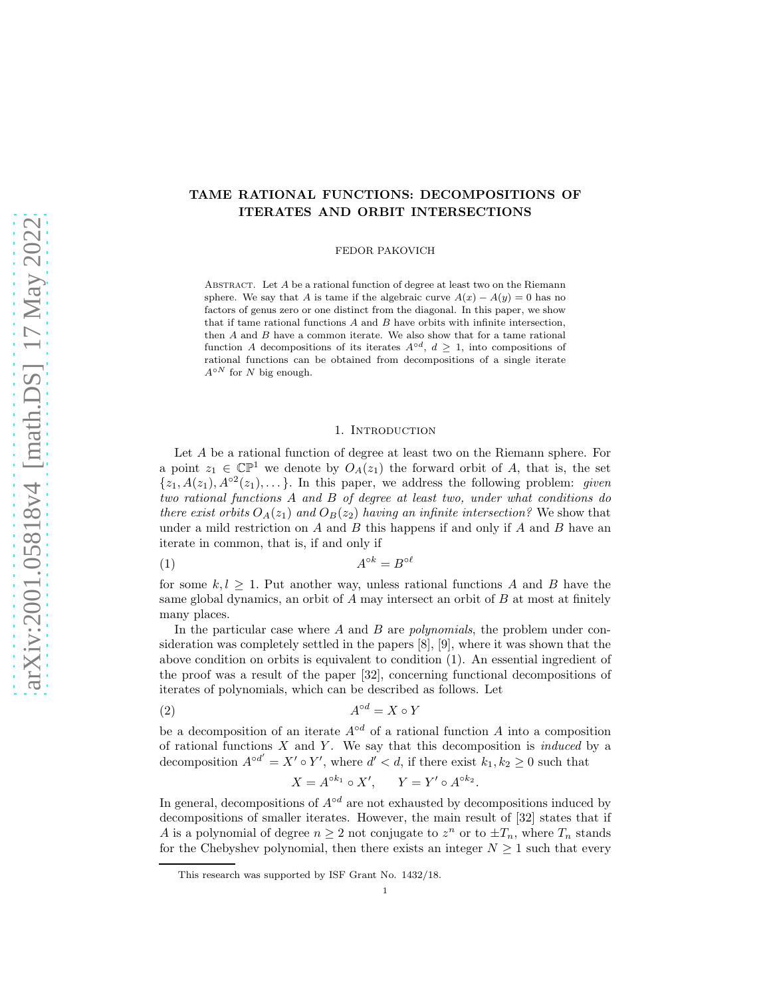# arXiv:2001.05818v4 [math.DS] 17 May 2022 [arXiv:2001.05818v4 \[math.DS\] 17 May 2022](http://arxiv.org/abs/2001.05818v4)

# TAME RATIONAL FUNCTIONS: DECOMPOSITIONS OF ITERATES AND ORBIT INTERSECTIONS

FEDOR PAKOVICH

ABSTRACT. Let  $A$  be a rational function of degree at least two on the Riemann sphere. We say that A is tame if the algebraic curve  $A(x) - A(y) = 0$  has no factors of genus zero or one distinct from the diagonal. In this paper, we show that if tame rational functions  $A$  and  $B$  have orbits with infinite intersection, then A and B have a common iterate. We also show that for a tame rational function A decompositions of its iterates  $A^{\circ d}$ ,  $d \geq 1$ , into compositions of rational functions can be obtained from decompositions of a single iterate  $A^{\circ N}$  for N big enough.

### 1. INTRODUCTION

Let A be a rational function of degree at least two on the Riemann sphere. For a point  $z_1 \in \mathbb{CP}^1$  we denote by  $O_A(z_1)$  the forward orbit of A, that is, the set  $\{z_1, A(z_1), A^{\circ 2}(z_1), \dots\}$ . In this paper, we address the following problem: *given two rational functions* A *and* B *of degree at least two, under what conditions do there exist orbits*  $O_A(z_1)$  *and*  $O_B(z_2)$  *having an infinite intersection?* We show that under a mild restriction on  $A$  and  $B$  this happens if and only if  $A$  and  $B$  have an iterate in common, that is, if and only if

 $(1)$   $A$  $\circ^k = B^{\circ \ell}$ 

for some  $k, l > 1$ . Put another way, unless rational functions A and B have the same global dynamics, an orbit of  $A$  may intersect an orbit of  $B$  at most at finitely many places.

In the particular case where A and B are *polynomials*, the problem under consideration was completely settled in the papers [8], [9], where it was shown that the above condition on orbits is equivalent to condition (1). An essential ingredient of the proof was a result of the paper [32], concerning functional decompositions of iterates of polynomials, which can be described as follows. Let

$$
(2) \t\t A^{\circ d} = X \circ Y
$$

be a decomposition of an iterate  $A^{\circ d}$  of a rational function A into a composition of rational functions  $X$  and  $Y$ . We say that this decomposition is *induced* by a decomposition  $A^{\circ d'} = X' \circ Y'$ , where  $d' < d$ , if there exist  $k_1, k_2 \geq 0$  such that

$$
X = A^{\circ k_1} \circ X', \qquad Y = Y' \circ A^{\circ k_2}.
$$

In general, decompositions of  $A^{\circ d}$  are not exhausted by decompositions induced by decompositions of smaller iterates. However, the main result of [32] states that if A is a polynomial of degree  $n \geq 2$  not conjugate to  $z^n$  or to  $\pm T_n$ , where  $T_n$  stands for the Chebyshev polynomial, then there exists an integer  $N \geq 1$  such that every

This research was supported by ISF Grant No. 1432/18.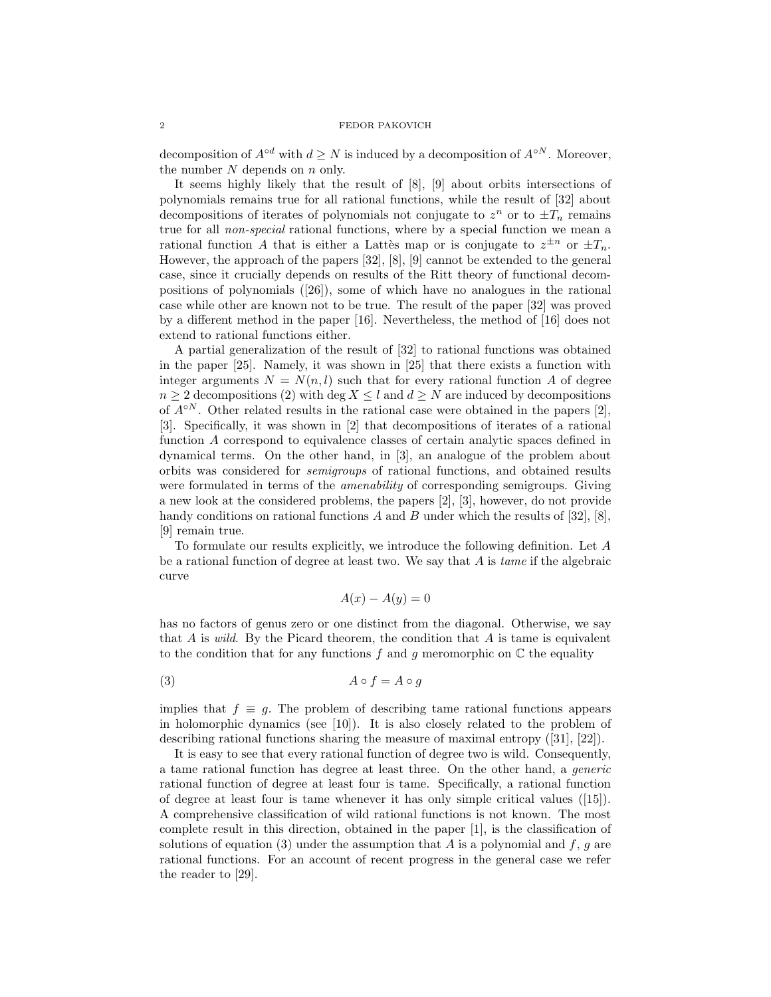decomposition of  $A^{\circ d}$  with  $d > N$  is induced by a decomposition of  $A^{\circ N}$ . Moreover, the number  $N$  depends on  $n$  only.

It seems highly likely that the result of [8], [9] about orbits intersections of polynomials remains true for all rational functions, while the result of [32] about decompositions of iterates of polynomials not conjugate to  $z^n$  or to  $\pm T_n$  remains true for all *non-special* rational functions, where by a special function we mean a rational function A that is either a Lattes map or is conjugate to  $z^{\pm n}$  or  $\pm T_n$ . However, the approach of the papers [32], [8], [9] cannot be extended to the general case, since it crucially depends on results of the Ritt theory of functional decompositions of polynomials ([26]), some of which have no analogues in the rational case while other are known not to be true. The result of the paper [32] was proved by a different method in the paper [16]. Nevertheless, the method of [16] does not extend to rational functions either.

A partial generalization of the result of [32] to rational functions was obtained in the paper [25]. Namely, it was shown in [25] that there exists a function with integer arguments  $N = N(n, l)$  such that for every rational function A of degree  $n \geq 2$  decompositions (2) with deg  $X \leq l$  and  $d \geq N$  are induced by decompositions of  $A^{\circ N}$ . Other related results in the rational case were obtained in the papers [2], [3]. Specifically, it was shown in [2] that decompositions of iterates of a rational function A correspond to equivalence classes of certain analytic spaces defined in dynamical terms. On the other hand, in [3], an analogue of the problem about orbits was considered for *semigroups* of rational functions, and obtained results were formulated in terms of the *amenability* of corresponding semigroups. Giving a new look at the considered problems, the papers [2], [3], however, do not provide handy conditions on rational functions  $A$  and  $B$  under which the results of [32], [8], [9] remain true.

To formulate our results explicitly, we introduce the following definition. Let A be a rational function of degree at least two. We say that A is *tame* if the algebraic curve

$$
A(x) - A(y) = 0
$$

has no factors of genus zero or one distinct from the diagonal. Otherwise, we say that A is *wild*. By the Picard theorem, the condition that A is tame is equivalent to the condition that for any functions f and g meromorphic on  $\mathbb C$  the equality

$$
(3) \t\t A \circ f = A \circ g
$$

implies that  $f \equiv g$ . The problem of describing tame rational functions appears in holomorphic dynamics (see  $[10]$ ). It is also closely related to the problem of describing rational functions sharing the measure of maximal entropy ([31], [22]).

It is easy to see that every rational function of degree two is wild. Consequently, a tame rational function has degree at least three. On the other hand, a *generic* rational function of degree at least four is tame. Specifically, a rational function of degree at least four is tame whenever it has only simple critical values ([15]). A comprehensive classification of wild rational functions is not known. The most complete result in this direction, obtained in the paper [1], is the classification of solutions of equation (3) under the assumption that  $A$  is a polynomial and  $f, g$  are rational functions. For an account of recent progress in the general case we refer the reader to [29].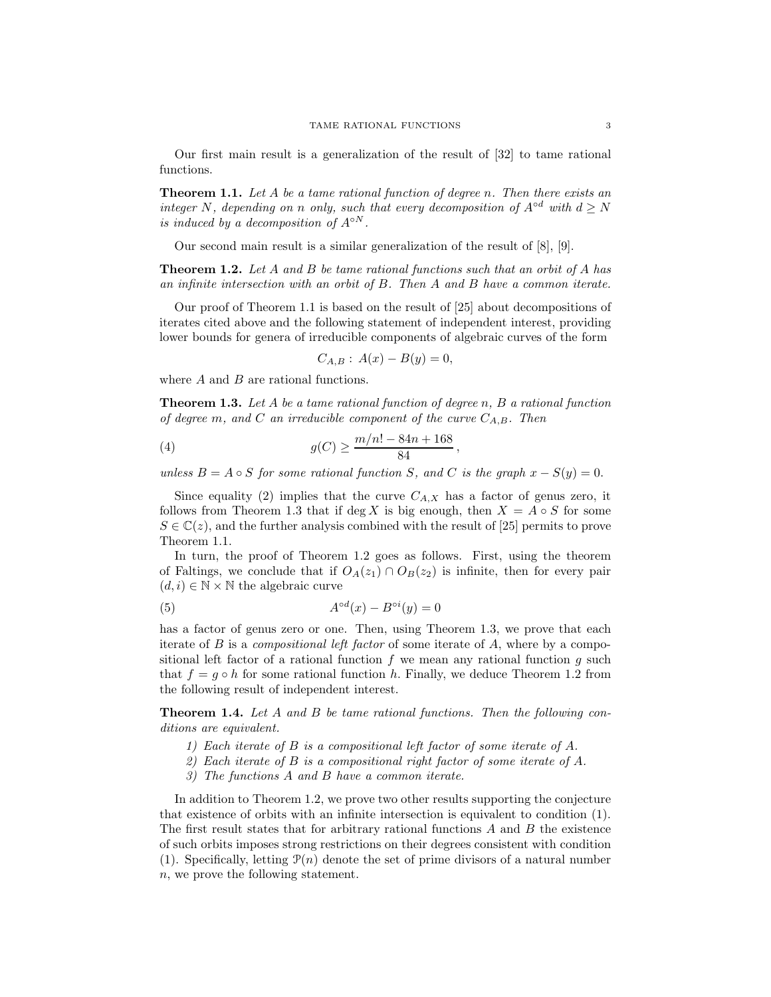Our first main result is a generalization of the result of [32] to tame rational functions.

Theorem 1.1. *Let* A *be a tame rational function of degree* n*. Then there exists an integer* N, depending on n only, such that every decomposition of  $A^{\circ d}$  with  $d \geq N$ *is induced by a decomposition of*  $A^{\circ N}$ *.* 

Our second main result is a similar generalization of the result of [8], [9].

Theorem 1.2. *Let* A *and* B *be tame rational functions such that an orbit of* A *has an infinite intersection with an orbit of* B*. Then* A *and* B *have a common iterate.*

Our proof of Theorem 1.1 is based on the result of [25] about decompositions of iterates cited above and the following statement of independent interest, providing lower bounds for genera of irreducible components of algebraic curves of the form

$$
C_{A,B}: A(x) - B(y) = 0,
$$

where  $A$  and  $B$  are rational functions.

Theorem 1.3. *Let* A *be a tame rational function of degree* n*,* B *a rational function of degree* m*, and* C *an irreducible component of the curve* CA,B*. Then*

(4) 
$$
g(C) \ge \frac{m/n! - 84n + 168}{84},
$$

*unless*  $B = A \circ S$  *for some rational function* S, and C *is the graph*  $x - S(y) = 0$ .

Since equality (2) implies that the curve  $C_{A,X}$  has a factor of genus zero, it follows from Theorem 1.3 that if deg X is big enough, then  $X = A \circ S$  for some  $S \in \mathbb{C}(z)$ , and the further analysis combined with the result of [25] permits to prove Theorem 1.1.

In turn, the proof of Theorem 1.2 goes as follows. First, using the theorem of Faltings, we conclude that if  $O_A(z_1) \cap O_B(z_2)$  is infinite, then for every pair  $(d, i) \in \mathbb{N} \times \mathbb{N}$  the algebraic curve

(5) 
$$
A^{\circ d}(x) - B^{\circ i}(y) = 0
$$

has a factor of genus zero or one. Then, using Theorem 1.3, we prove that each iterate of B is a *compositional left factor* of some iterate of A, where by a compositional left factor of a rational function  $f$  we mean any rational function  $g$  such that  $f = g \circ h$  for some rational function h. Finally, we deduce Theorem 1.2 from the following result of independent interest.

Theorem 1.4. *Let* A *and* B *be tame rational functions. Then the following conditions are equivalent.*

- *1) Each iterate of* B *is a compositional left factor of some iterate of* A*.*
- *2) Each iterate of* B *is a compositional right factor of some iterate of* A*.*
- *3) The functions* A *and* B *have a common iterate.*

In addition to Theorem 1.2, we prove two other results supporting the conjecture that existence of orbits with an infinite intersection is equivalent to condition (1). The first result states that for arbitrary rational functions  $A$  and  $B$  the existence of such orbits imposes strong restrictions on their degrees consistent with condition (1). Specifically, letting  $\mathcal{P}(n)$  denote the set of prime divisors of a natural number n, we prove the following statement.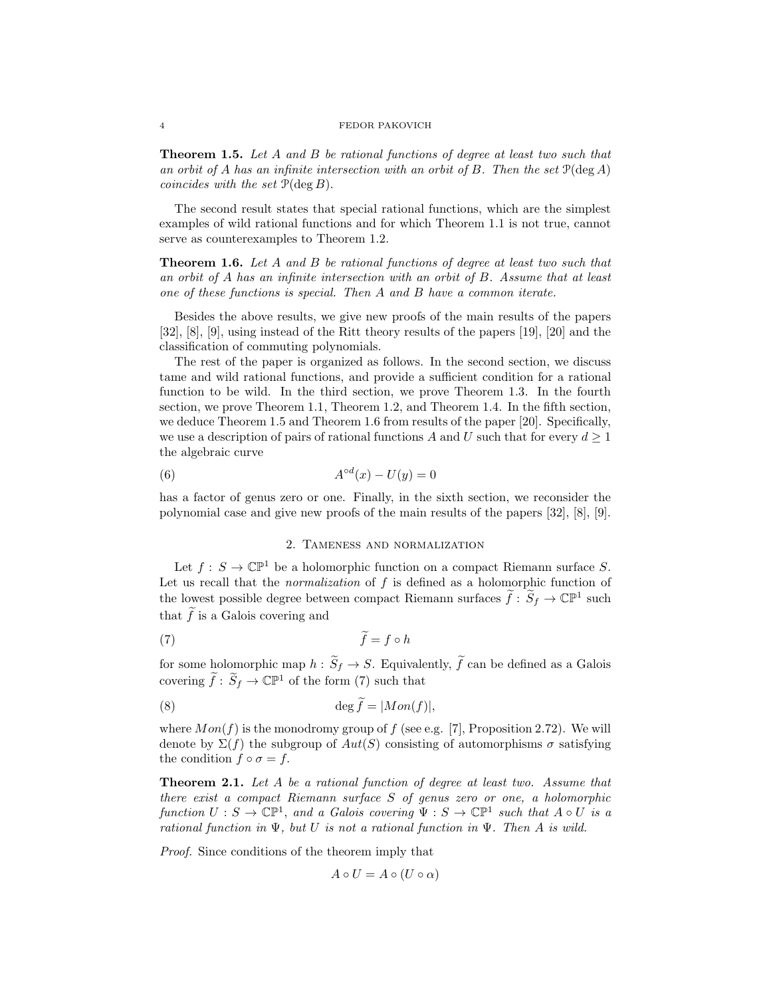Theorem 1.5. *Let* A *and* B *be rational functions of degree at least two such that an orbit of* A *has an infinite intersection with an orbit of* B*. Then the set* P(deg A) *coincides with the set* P(deg B).

The second result states that special rational functions, which are the simplest examples of wild rational functions and for which Theorem 1.1 is not true, cannot serve as counterexamples to Theorem 1.2.

Theorem 1.6. *Let* A *and* B *be rational functions of degree at least two such that an orbit of* A *has an infinite intersection with an orbit of* B*. Assume that at least one of these functions is special. Then* A *and* B *have a common iterate.*

Besides the above results, we give new proofs of the main results of the papers [32], [8], [9], using instead of the Ritt theory results of the papers [19], [20] and the classification of commuting polynomials.

The rest of the paper is organized as follows. In the second section, we discuss tame and wild rational functions, and provide a sufficient condition for a rational function to be wild. In the third section, we prove Theorem 1.3. In the fourth section, we prove Theorem 1.1, Theorem 1.2, and Theorem 1.4. In the fifth section, we deduce Theorem 1.5 and Theorem 1.6 from results of the paper [20]. Specifically, we use a description of pairs of rational functions A and U such that for every  $d \geq 1$ the algebraic curve

(6) 
$$
A^{\circ d}(x) - U(y) = 0
$$

has a factor of genus zero or one. Finally, in the sixth section, we reconsider the polynomial case and give new proofs of the main results of the papers [32], [8], [9].

### 2. Tameness and normalization

Let  $f: S \to \mathbb{CP}^1$  be a holomorphic function on a compact Riemann surface S. Let us recall that the *normalization* of f is defined as a holomorphic function of the lowest possible degree between compact Riemann surfaces  $\tilde{f}: \tilde{S}_f \to \mathbb{CP}^1$  such that  $\tilde{f}$  is a Galois covering and

$$
\widetilde{f} = f \circ h
$$

for some holomorphic map  $h : \widetilde{S}_f \to S$ . Equivalently,  $\widetilde{f}$  can be defined as a Galois covering  $\widetilde{f}: \widetilde{S}_f \to \mathbb{CP}^1$  of the form (7) such that

(8) 
$$
\deg f = |Mon(f)|,
$$

where  $Mon(f)$  is the monodromy group of f (see e.g. [7], Proposition 2.72). We will denote by  $\Sigma(f)$  the subgroup of  $Aut(S)$  consisting of automorphisms  $\sigma$  satisfying the condition  $f \circ \sigma = f$ .

Theorem 2.1. *Let* A *be a rational function of degree at least two. Assume that there exist a compact Riemann surface* S *of genus zero or one, a holomorphic function*  $U : S \to \mathbb{CP}^1$ , and a Galois covering  $\Psi : S \to \mathbb{CP}^1$  such that  $A \circ U$  *is a rational function in* Ψ*, but* U *is not a rational function in* Ψ*. Then* A *is wild.*

*Proof.* Since conditions of the theorem imply that

$$
A \circ U = A \circ (U \circ \alpha)
$$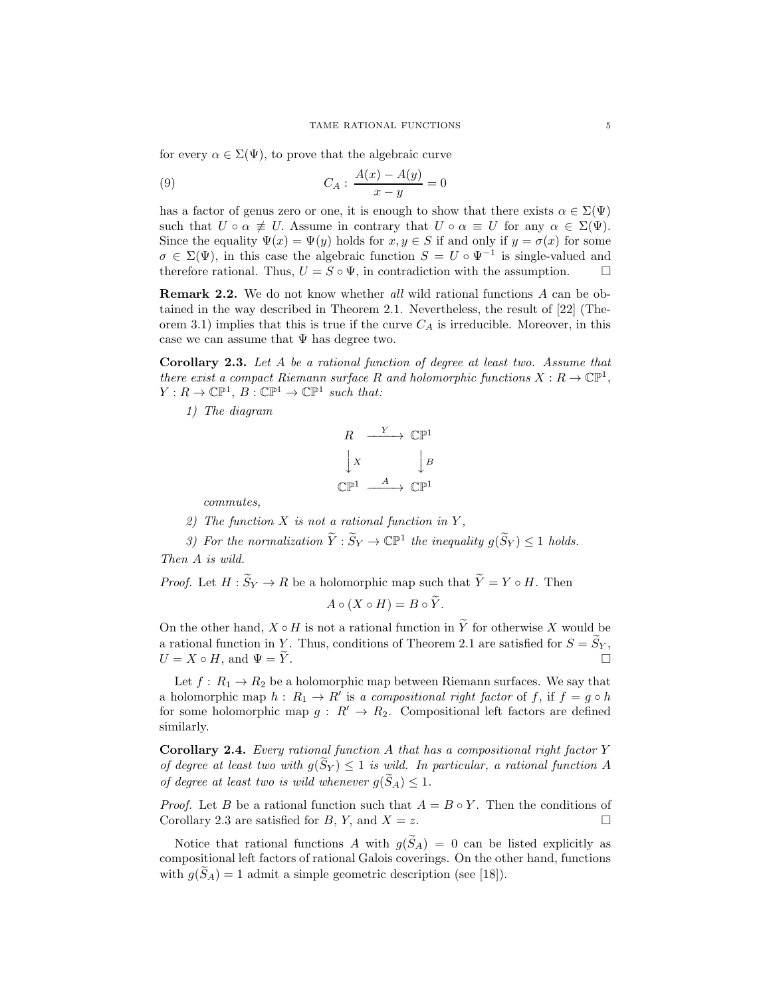for every  $\alpha \in \Sigma(\Psi)$ , to prove that the algebraic curve

(9) 
$$
C_A: \frac{A(x) - A(y)}{x - y} = 0
$$

has a factor of genus zero or one, it is enough to show that there exists  $\alpha \in \Sigma(\Psi)$ such that  $U \circ \alpha \neq U$ . Assume in contrary that  $U \circ \alpha \equiv U$  for any  $\alpha \in \Sigma(\Psi)$ . Since the equality  $\Psi(x) = \Psi(y)$  holds for  $x, y \in S$  if and only if  $y = \sigma(x)$  for some  $\sigma \in \Sigma(\Psi)$ , in this case the algebraic function  $S = U \circ \Psi^{-1}$  is single-valued and therefore rational. Thus,  $U = S \circ \Psi$ , in contradiction with the assumption.

Remark 2.2. We do not know whether *all* wild rational functions A can be obtained in the way described in Theorem 2.1. Nevertheless, the result of [22] (Theorem 3.1) implies that this is true if the curve  $C_A$  is irreducible. Moreover, in this case we can assume that  $\Psi$  has degree two.

Corollary 2.3. *Let* A *be a rational function of degree at least two. Assume that there exist a compact Riemann surface* R and holomorphic functions  $X: \mathbb{R} \to \mathbb{CP}^1$ ,  $Y: R \to \mathbb{CP}^1$ ,  $B: \mathbb{CP}^1 \to \mathbb{CP}^1$  such that:

*1) The diagram*

$$
R \xrightarrow{Y} \mathbb{CP}^1
$$

$$
\downarrow x \qquad \qquad \downarrow B
$$

$$
\mathbb{CP}^1 \xrightarrow{A} \mathbb{CP}^1
$$

*commutes,*

*2) The function* X *is not a rational function in* Y *,*

*3)* For the normalization  $\hat{Y}: \hat{S}_Y \to \mathbb{CP}^1$  the inequality  $g(\hat{S}_Y) \leq 1$  holds. *Then* A *is wild.*

*Proof.* Let  $H : \widetilde{S}_Y \to R$  be a holomorphic map such that  $\widetilde{Y} = Y \circ H$ . Then

$$
A\circ (X\circ H)=B\circ \widetilde{Y}.
$$

On the other hand,  $X \circ H$  is not a rational function in  $\widetilde{Y}$  for otherwise X would be a rational function in Y. Thus, conditions of Theorem 2.1 are satisfied for  $S = \widetilde{S}_Y$ ,  $U = X \circ H$ , and  $\Psi = \widetilde{Y}$ .  $U = X \circ H$ , and  $\Psi = Y$ .

Let  $f: R_1 \to R_2$  be a holomorphic map between Riemann surfaces. We say that a holomorphic map  $h: R_1 \to R'$  is a compositional right factor of f, if  $f = g \circ h$ for some holomorphic map  $g: R' \to R_2$ . Compositional left factors are defined similarly.

Corollary 2.4. *Every rational function* A *that has a compositional right factor* Y *of degree at least two with*  $g(S_Y) \leq 1$  *is wild. In particular, a rational function* A *of degree at least two is wild whenever*  $g(\tilde{S}_A) \leq 1$ .

*Proof.* Let B be a rational function such that  $A = B \circ Y$ . Then the conditions of Corollary 2.3 are satisfied for B, Y, and  $X = z$ .

Notice that rational functions A with  $g(\widetilde{S}_A) = 0$  can be listed explicitly as compositional left factors of rational Galois coverings. On the other hand, functions with  $g(S_A) = 1$  admit a simple geometric description (see [18]).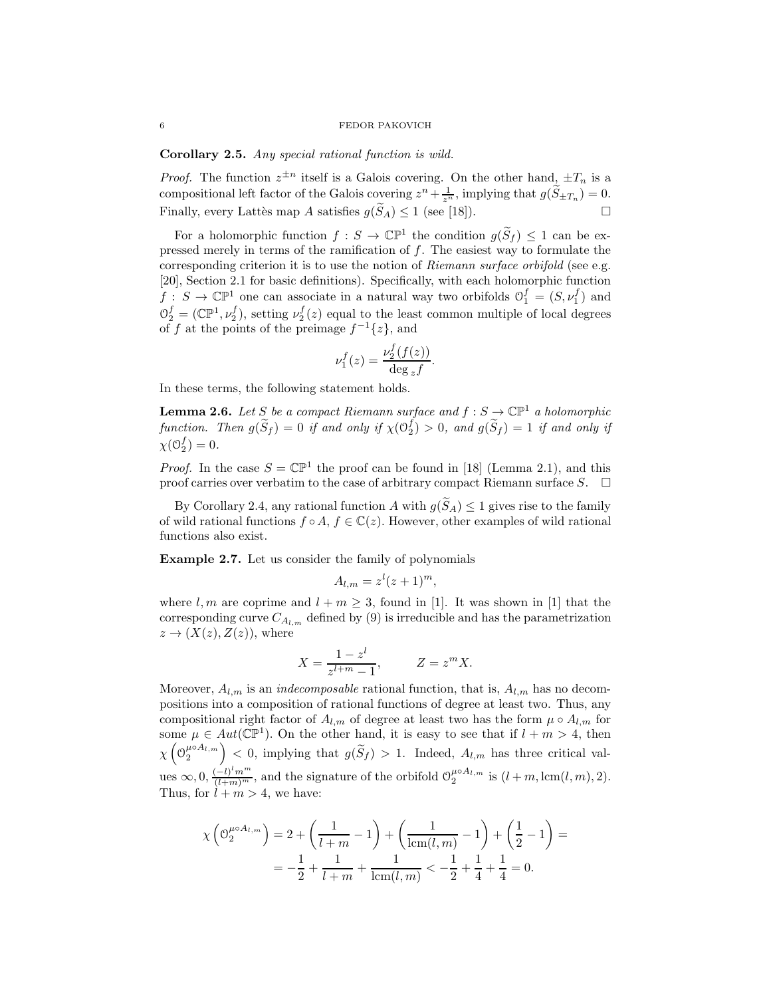Corollary 2.5. *Any special rational function is wild.*

*Proof.* The function  $z^{\pm n}$  itself is a Galois covering. On the other hand,  $\pm T_n$  is a compositional left factor of the Galois covering  $z^n + \frac{1}{z^n}$ , implying that  $g(\widetilde{S}_{\pm T_n}) = 0$ . Finally, every Lattès map A satisfies  $g(\widetilde{S}_A) \leq 1$  (see [18]).

For a holomorphic function  $f : S \to \mathbb{C} \mathbb{P}^1$  the condition  $g(S_f) \leq 1$  can be expressed merely in terms of the ramification of  $f$ . The easiest way to formulate the corresponding criterion it is to use the notion of *Riemann surface orbifold* (see e.g. [20], Section 2.1 for basic definitions). Specifically, with each holomorphic function  $f: S \to \mathbb{CP}^1$  one can associate in a natural way two orbifolds  $\mathcal{O}_1^f = (S, \nu_1^f)$  and  $\mathcal{O}_2^f = (\mathbb{CP}^1, \nu_2^f)$ , setting  $\nu_2^f(z)$  equal to the least common multiple of local degrees of f at the points of the preimage  $f^{-1}{z}$ , and

$$
\nu_1^f(z) = \frac{\nu_2^f(f(z))}{\deg_z f}.
$$

In these terms, the following statement holds.

**Lemma 2.6.** Let S be a compact Riemann surface and  $f : S \to \mathbb{CP}^1$  a holomorphic *function.* Then  $g(\widetilde{S}_f) = 0$  *if and only if*  $\chi(\mathbb{O}_2^f) > 0$ , and  $g(\widetilde{S}_f) = 1$  *if and only if*  $\chi(\mathcal{O}_2^f)=0.$ 

*Proof.* In the case  $S = \mathbb{CP}^1$  the proof can be found in [18] (Lemma 2.1), and this proof carries over verbatim to the case of arbitrary compact Riemann surface  $S$ .  $\Box$ 

By Corollary 2.4, any rational function A with  $g(\widetilde{S}_A) \leq 1$  gives rise to the family of wild rational functions  $f \circ A$ ,  $f \in \mathbb{C}(z)$ . However, other examples of wild rational functions also exist.

Example 2.7. Let us consider the family of polynomials

$$
A_{l,m} = z^l (z+1)^m,
$$

where l, m are coprime and  $l + m \geq 3$ , found in [1]. It was shown in [1] that the corresponding curve  $C_{A_{l,m}}$  defined by (9) is irreducible and has the parametrization  $z \rightarrow (X(z), Z(z))$ , where

$$
X = \frac{1 - z^l}{z^{l+m} - 1}, \qquad Z = z^m X.
$$

Moreover,  $A_{l,m}$  is an *indecomposable* rational function, that is,  $A_{l,m}$  has no decompositions into a composition of rational functions of degree at least two. Thus, any compositional right factor of  $A_{l,m}$  of degree at least two has the form  $\mu \circ A_{l,m}$  for some  $\mu \in Aut(\mathbb{CP}^1)$ . On the other hand, it is easy to see that if  $l + m > 4$ , then  $\chi\left(\mathcal{O}_2^{\mu\circ A_{l,m}}\right)$  < 0, implying that  $g(\widetilde{S}_f) > 1$ . Indeed,  $A_{l,m}$  has three critical values  $\infty, 0, \frac{(-l)^l m^m}{(l+m)^m}$ , and the signature of the orbifold  $\mathcal{O}_2^{\mu \circ A_{l,m}}$  is  $(l+m, \text{lcm}(l, m), 2)$ . Thus, for  $l + m > 4$ , we have:

$$
\chi\left(\mathcal{O}_2^{\mu\circ A_{l,m}}\right) = 2 + \left(\frac{1}{l+m} - 1\right) + \left(\frac{1}{\text{lcm}(l,m)} - 1\right) + \left(\frac{1}{2} - 1\right) =
$$
  
=  $-\frac{1}{2} + \frac{1}{l+m} + \frac{1}{\text{lcm}(l,m)} < -\frac{1}{2} + \frac{1}{4} + \frac{1}{4} = 0.$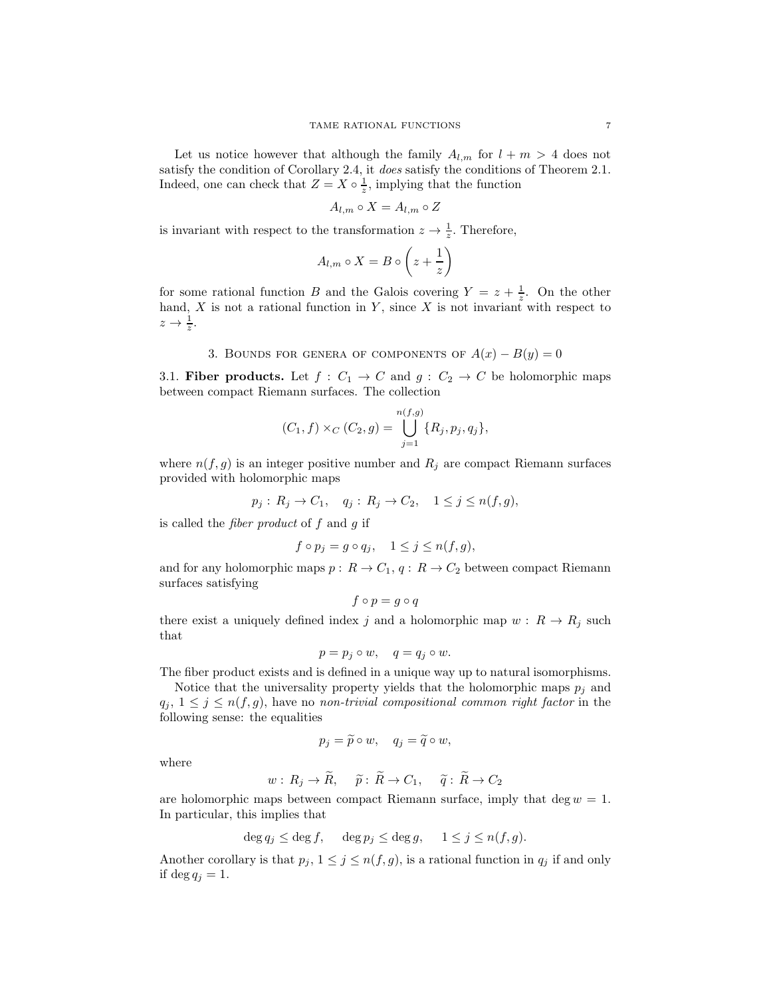Let us notice however that although the family  $A_{l,m}$  for  $l+m>4$  does not satisfy the condition of Corollary 2.4, it *does* satisfy the conditions of Theorem 2.1. Indeed, one can check that  $Z = X \circ \frac{1}{z}$ , implying that the function

$$
A_{l,m} \circ X = A_{l,m} \circ Z
$$

is invariant with respect to the transformation  $z \to \frac{1}{z}$ . Therefore,

$$
A_{l,m} \circ X = B \circ \left(z + \frac{1}{z}\right)
$$

for some rational function B and the Galois covering  $Y = z + \frac{1}{z}$ . On the other hand,  $X$  is not a rational function in  $Y$ , since  $X$  is not invariant with respect to  $z \rightarrow \frac{1}{z}$ .

3. BOUNDS FOR GENERA OF COMPONENTS OF  $A(x) - B(y) = 0$ 

3.1. Fiber products. Let  $f: C_1 \to C$  and  $g: C_2 \to C$  be holomorphic maps between compact Riemann surfaces. The collection

$$
(C_1, f) \times_C (C_2, g) = \bigcup_{j=1}^{n(f,g)} \{R_j, p_j, q_j\},\,
$$

where  $n(f, g)$  is an integer positive number and  $R<sub>j</sub>$  are compact Riemann surfaces provided with holomorphic maps

$$
p_j: R_j \to C_1, \quad q_j: R_j \to C_2, \quad 1 \le j \le n(f, g),
$$

is called the *fiber product* of f and g if

$$
f \circ p_j = g \circ q_j, \quad 1 \le j \le n(f, g),
$$

and for any holomorphic maps  $p: R \to C_1$ ,  $q: R \to C_2$  between compact Riemann surfaces satisfying

$$
f \circ p = g \circ q
$$

there exist a uniquely defined index j and a holomorphic map  $w : R \to R_j$  such that

$$
p = p_j \circ w, \quad q = q_j \circ w.
$$

The fiber product exists and is defined in a unique way up to natural isomorphisms.

Notice that the universality property yields that the holomorphic maps  $p_i$  and  $q_j, 1 \leq j \leq n(f, g)$ , have no *non-trivial compositional common right factor* in the following sense: the equalities

$$
p_j = \widetilde{p} \circ w, \quad q_j = \widetilde{q} \circ w,
$$

where

$$
w: R_j \to \widetilde{R}, \quad \widetilde{p}: \widetilde{R} \to C_1, \quad \widetilde{q}: \widetilde{R} \to C_2
$$

are holomorphic maps between compact Riemann surface, imply that deg  $w = 1$ . In particular, this implies that

$$
\deg q_j \le \deg f, \quad \deg p_j \le \deg g, \quad 1 \le j \le n(f, g).
$$

Another corollary is that  $p_j$ ,  $1 \leq j \leq n(f,g)$ , is a rational function in  $q_j$  if and only if deg  $q_i = 1$ .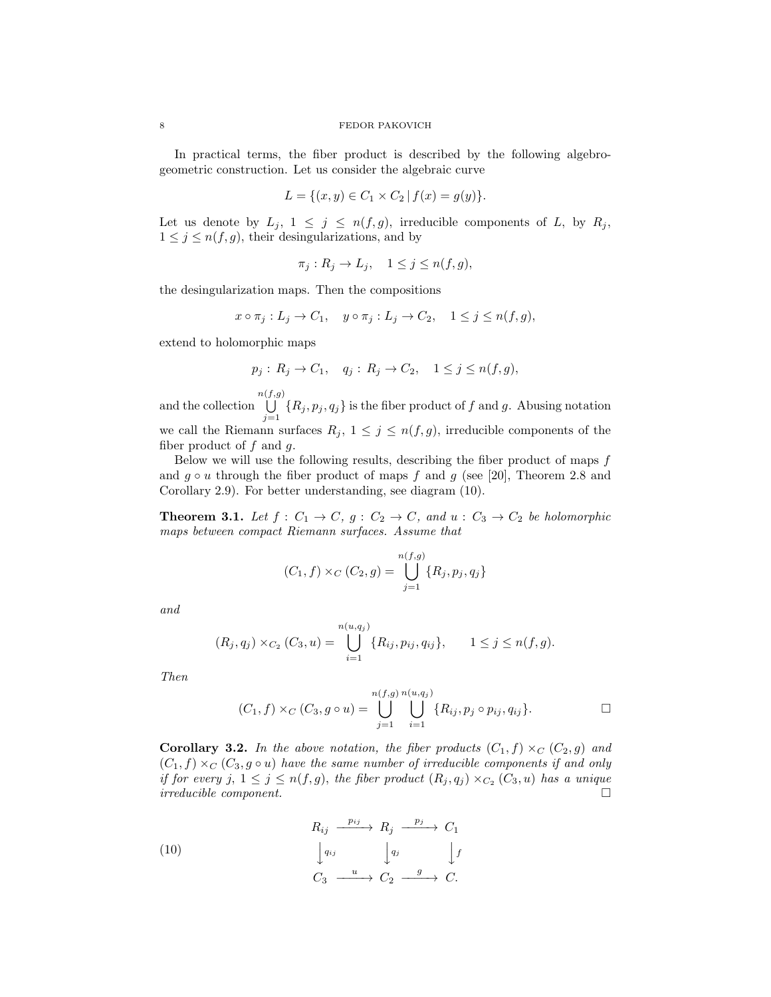### 8 FEDOR PAKOVICH

In practical terms, the fiber product is described by the following algebrogeometric construction. Let us consider the algebraic curve

$$
L = \{(x, y) \in C_1 \times C_2 \mid f(x) = g(y)\}.
$$

Let us denote by  $L_j$ ,  $1 \leq j \leq n(f,g)$ , irreducible components of L, by  $R_j$ ,  $1 \leq j \leq n(f,g)$ , their desingularizations, and by

$$
\pi_j: R_j \to L_j, \quad 1 \le j \le n(f, g),
$$

the desingularization maps. Then the compositions

$$
x \circ \pi_j: L_j \to C_1, \quad y \circ \pi_j: L_j \to C_2, \quad 1 \le j \le n(f, g),
$$

extend to holomorphic maps

$$
p_j: R_j \to C_1, \quad q_j: R_j \to C_2, \quad 1 \le j \le n(f,g),
$$

and the collection  $\begin{bmatrix} n(f,g) \\ | \end{bmatrix}$  $\bigcup_{j=1} \{R_j, p_j, q_j\}$  is the fiber product of f and g. Abusing notation we call the Riemann surfaces  $R_j$ ,  $1 \leq j \leq n(f,g)$ , irreducible components of the fiber product of  $f$  and  $q$ .

Below we will use the following results, describing the fiber product of maps  $f$ and  $g \circ u$  through the fiber product of maps f and g (see [20], Theorem 2.8 and Corollary 2.9). For better understanding, see diagram (10).

**Theorem 3.1.** Let  $f: C_1 \to C$ ,  $g: C_2 \to C$ , and  $u: C_3 \to C_2$  be holomorphic *maps between compact Riemann surfaces. Assume that*

$$
(C_1, f) \times_C (C_2, g) = \bigcup_{j=1}^{n(f,g)} \{R_j, p_j, q_j\}
$$

*and*

$$
(R_j, q_j) \times_{C_2} (C_3, u) = \bigcup_{i=1}^{n(u, q_j)} \{R_{ij}, p_{ij}, q_{ij}\}, \qquad 1 \leq j \leq n(f, g).
$$

*Then*

$$
(C_1, f) \times_C (C_3, g \circ u) = \bigcup_{j=1}^{n(f,g)} \bigcup_{i=1}^{n(u,g_j)} \{R_{ij}, p_j \circ p_{ij}, q_{ij}\}.
$$

**Corollary 3.2.** *In the above notation, the fiber products*  $(C_1, f) \times_C (C_2, g)$  *and*  $(C_1, f) \times_C (C_3, g \circ u)$  *have the same number of irreducible components if and only if for every*  $j, 1 \leq j \leq n(f,g)$ , the fiber product  $(R_j, q_j) \times_{C_2} (C_3, u)$  has a unique *irreducible component.*

(10)  
\n
$$
\begin{array}{ccc}\n & R_{ij} & \xrightarrow{p_{ij}} & R_j & \xrightarrow{p_j} & C_1 \\
\downarrow^{q_{ij}} & & \downarrow^{q_j} & & \downarrow^{f} \\
 & C_3 & \xrightarrow{u} & C_2 & \xrightarrow{g} & C.\n\end{array}
$$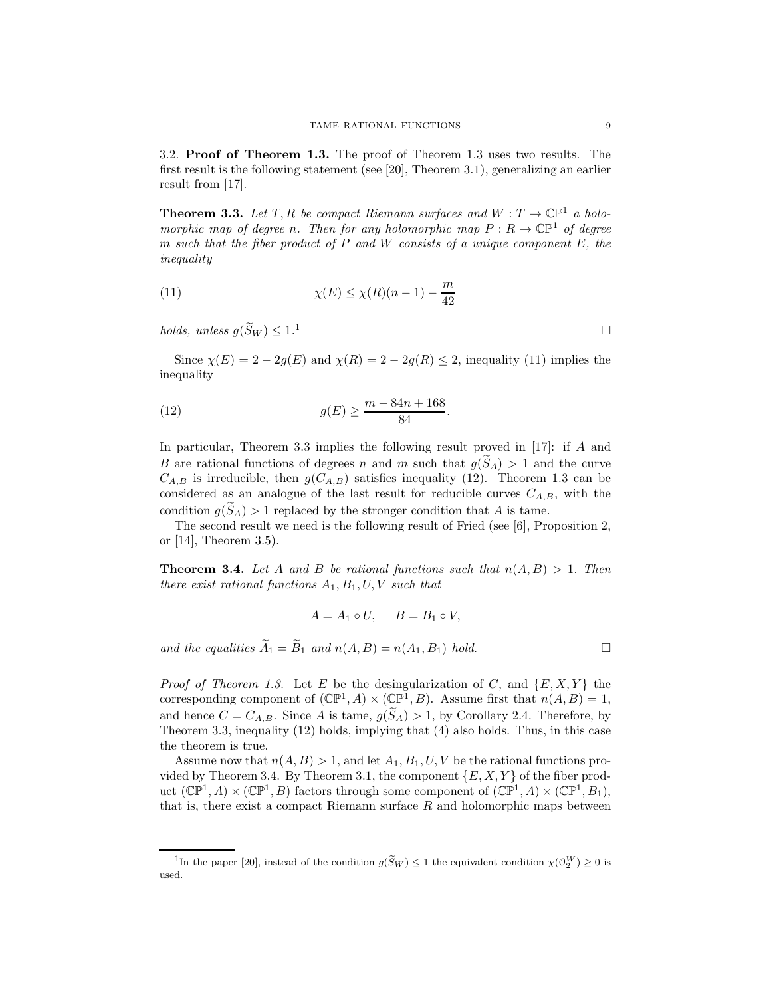3.2. Proof of Theorem 1.3. The proof of Theorem 1.3 uses two results. The first result is the following statement (see [20], Theorem 3.1), generalizing an earlier result from [17].

**Theorem 3.3.** Let T, R be compact Riemann surfaces and  $W: T \to \mathbb{CP}^1$  a holo*morphic map of degree n. Then for any holomorphic map*  $P: R \to \mathbb{CP}^1$  *of degree* m *such that the fiber product of* P *and* W *consists of a unique component* E*, the inequality*

(11) 
$$
\chi(E) \leq \chi(R)(n-1) - \frac{m}{42}
$$

*holds, unless*  $q(\widetilde{S}_W) \leq 1$ <sup>1</sup>

Since  $\chi(E) = 2 - 2g(E)$  and  $\chi(R) = 2 - 2g(R) \le 2$ , inequality (11) implies the inequality

(12) 
$$
g(E) \ge \frac{m - 84n + 168}{84}.
$$

In particular, Theorem 3.3 implies the following result proved in [17]: if A and B are rational functions of degrees n and m such that  $g(\tilde{S}_A) > 1$  and the curve  $C_{A,B}$  is irreducible, then  $g(C_{A,B})$  satisfies inequality (12). Theorem 1.3 can be considered as an analogue of the last result for reducible curves  $C_{A,B}$ , with the condition  $g(\tilde{S}_A) > 1$  replaced by the stronger condition that A is tame.

The second result we need is the following result of Fried (see [6], Proposition 2, or [14], Theorem 3.5).

**Theorem 3.4.** Let A and B be rational functions such that  $n(A, B) > 1$ . Then *there exist rational functions*  $A_1, B_1, U, V$  *such that* 

$$
A = A_1 \circ U, \qquad B = B_1 \circ V,
$$

*and the equalities*  $\widetilde{A}_1 = \widetilde{B}_1$  *and*  $n(A, B) = n(A_1, B_1)$  *hold.* 

*Proof of Theorem 1.3.* Let E be the desingularization of C, and  $\{E, X, Y\}$  the corresponding component of  $(\mathbb{CP}^1, A) \times (\mathbb{CP}^1, B)$ . Assume first that  $n(A, B) = 1$ , and hence  $C = C_{A,B}$ . Since A is tame,  $g(\widetilde{S}_A) > 1$ , by Corollary 2.4. Therefore, by Theorem 3.3, inequality (12) holds, implying that (4) also holds. Thus, in this case the theorem is true.

Assume now that  $n(A, B) > 1$ , and let  $A_1, B_1, U, V$  be the rational functions provided by Theorem 3.4. By Theorem 3.1, the component  $\{E, X, Y\}$  of the fiber product  $(\mathbb{CP}^1, A) \times (\mathbb{CP}^1, B)$  factors through some component of  $(\mathbb{CP}^1, A) \times (\mathbb{CP}^1, B_1)$ , that is, there exist a compact Riemann surface  $R$  and holomorphic maps between

 $\overline{1}$ 

<sup>&</sup>lt;sup>1</sup>In the paper [20], instead of the condition  $g(\widetilde{S}_W) \leq 1$  the equivalent condition  $\chi(\mathcal{O}_2^W) \geq 0$  is used.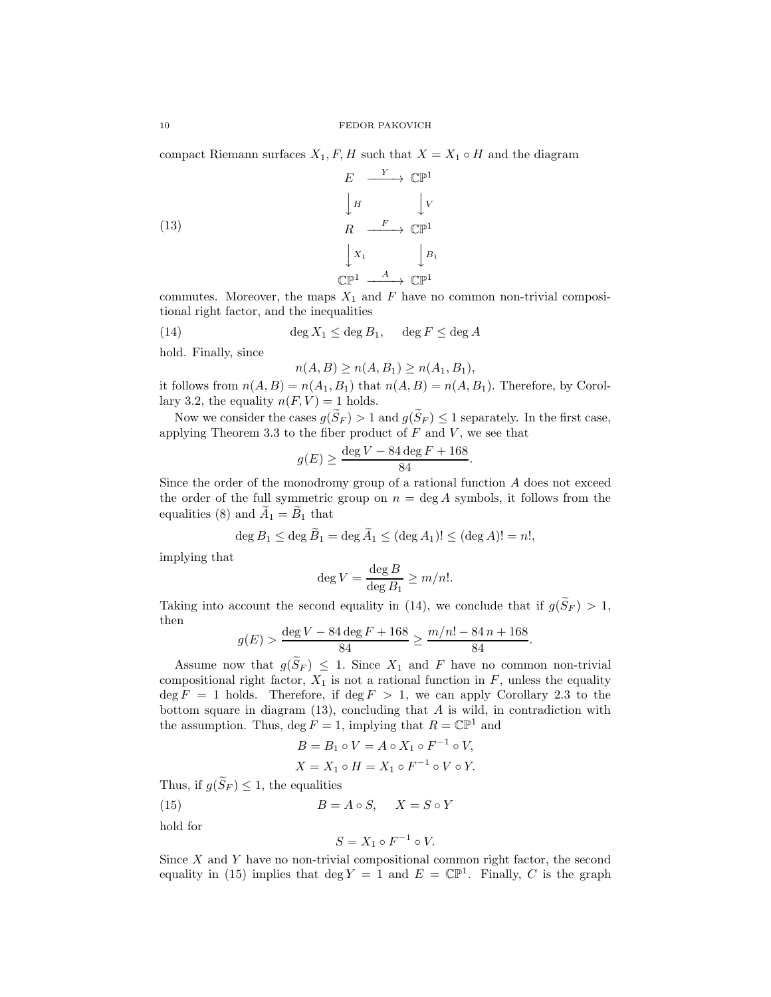compact Riemann surfaces  $X_1, F, H$  such that  $X = X_1 \circ H$  and the diagram

(13)  
\n
$$
\begin{array}{ccc}\n & E & \xrightarrow{Y} & \mathbb{CP}^1 \\
 & \downarrow H & & \downarrow V \\
 & R & \xrightarrow{F} & \mathbb{CP}^1 \\
 & \downarrow X_1 & & \downarrow B_1 \\
 & & \mathbb{CP}^1 & \xrightarrow{A} & \mathbb{CP}^1\n\end{array}
$$

commutes. Moreover, the maps  $X_1$  and  $F$  have no common non-trivial compositional right factor, and the inequalities

(14) 
$$
\deg X_1 \leq \deg B_1, \quad \deg F \leq \deg A
$$

hold. Finally, since

$$
n(A, B) \ge n(A, B_1) \ge n(A_1, B_1),
$$

it follows from  $n(A, B) = n(A_1, B_1)$  that  $n(A, B) = n(A, B_1)$ . Therefore, by Corollary 3.2, the equality  $n(F, V) = 1$  holds.

Now we consider the cases  $g(S_F) > 1$  and  $g(S_F) \leq 1$  separately. In the first case, applying Theorem 3.3 to the fiber product of  $F$  and  $V$ , we see that

$$
g(E) \ge \frac{\deg V - 84 \deg F + 168}{84}.
$$

Since the order of the monodromy group of a rational function A does not exceed the order of the full symmetric group on  $n = \deg A$  symbols, it follows from the equalities (8) and  $\widetilde{A}_1 = \widetilde{B}_1$  that

$$
\deg B_1 \leq \deg \widetilde{B}_1 = \deg \widetilde{A}_1 \leq (\deg A_1)! \leq (\deg A)! = n!,
$$

implying that

$$
\deg V = \frac{\deg B}{\deg B_1} \ge m/n!.
$$

Taking into account the second equality in (14), we conclude that if  $g(\tilde{S}_F) > 1$ , then

$$
g(E) > \frac{\deg V - 84 \deg F + 168}{84} \ge \frac{m/n! - 84 n + 168}{84}
$$

.

Assume now that  $g(S_F) \leq 1$ . Since  $X_1$  and F have no common non-trivial compositional right factor,  $X_1$  is not a rational function in  $F$ , unless the equality  $\deg F = 1$  holds. Therefore, if  $\deg F > 1$ , we can apply Corollary 2.3 to the bottom square in diagram  $(13)$ , concluding that A is wild, in contradiction with the assumption. Thus, deg  $F = 1$ , implying that  $R = \mathbb{CP}^1$  and

$$
B = B_1 \circ V = A \circ X_1 \circ F^{-1} \circ V,
$$

$$
X = X_1 \circ H = X_1 \circ F^{-1} \circ V \circ Y.
$$

Thus, if  $g(\widetilde{S}_F) \leq 1$ , the equalities

(15)  $B = A \circ S, \quad X = S \circ Y$ 

hold for

$$
S = X_1 \circ F^{-1} \circ V.
$$

Since  $X$  and  $Y$  have no non-trivial compositional common right factor, the second equality in (15) implies that deg  $Y = 1$  and  $E = \mathbb{CP}^1$ . Finally, C is the graph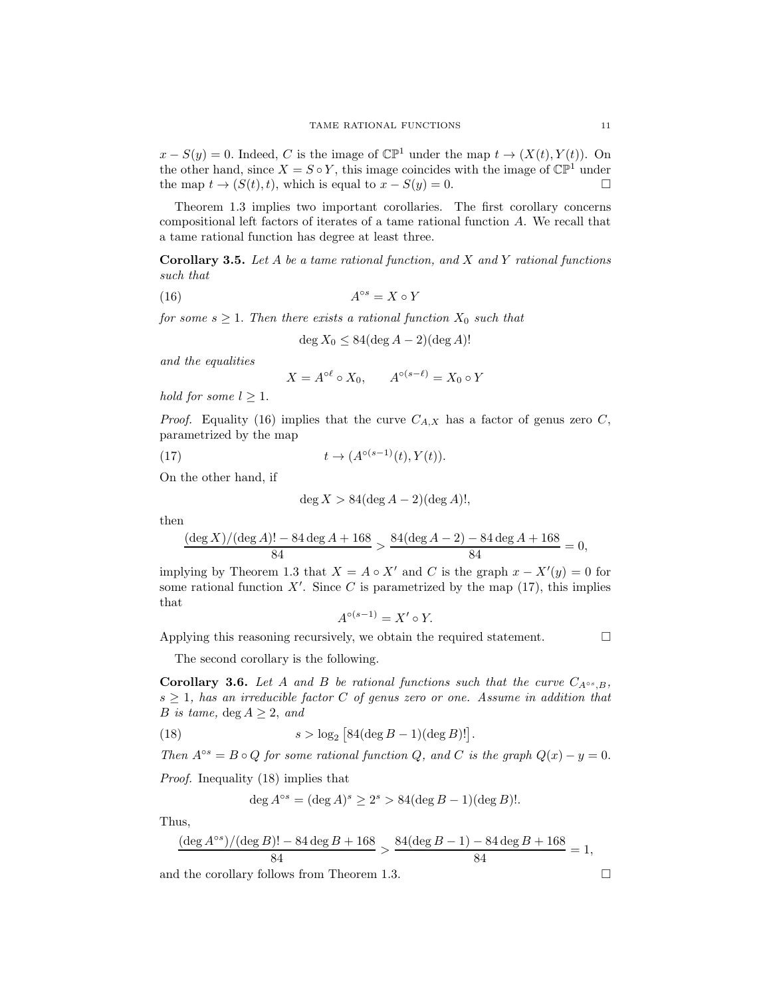$x - S(y) = 0$ . Indeed, C is the image of  $\mathbb{CP}^1$  under the map  $t \to (X(t), Y(t))$ . On the other hand, since  $X = S \circ Y$ , this image coincides with the image of  $\mathbb{CP}^1$  under the map  $t \to (S(t), t)$ , which is equal to  $x - S(y) = 0$ .

Theorem 1.3 implies two important corollaries. The first corollary concerns compositional left factors of iterates of a tame rational function A. We recall that a tame rational function has degree at least three.

Corollary 3.5. *Let* A *be a tame rational function, and* X *and* Y *rational functions such that*

$$
(16)\qquad \qquad A^{\circ s} = X \circ Y
$$

*for some*  $s \geq 1$ *. Then there exists a rational function*  $X_0$  *such that* 

$$
\deg X_0 \le 84(\deg A - 2)(\deg A)!
$$

*and the equalities*

$$
X = A^{\circ \ell} \circ X_0, \qquad A^{\circ (s-\ell)} = X_0 \circ Y
$$

*hold for some*  $l \geq 1$ .

*Proof.* Equality (16) implies that the curve  $C_{A,X}$  has a factor of genus zero C, parametrized by the map

(17) 
$$
t \to (A^{\circ (s-1)}(t), Y(t)).
$$

On the other hand, if

$$
\deg X > 84(\deg A - 2)(\deg A)!,
$$

then

$$
\frac{(\deg X)/(\deg A)! - 84 \deg A + 168}{84} > \frac{84(\deg A - 2) - 84 \deg A + 168}{84} = 0,
$$

implying by Theorem 1.3 that  $X = A \circ X'$  and C is the graph  $x - X'(y) = 0$  for some rational function  $X'$ . Since C is parametrized by the map  $(17)$ , this implies that

$$
A^{\circ(s-1)} = X' \circ Y.
$$

Applying this reasoning recursively, we obtain the required statement.  $\Box$ 

The second corollary is the following.

**Corollary 3.6.** Let A and B be rational functions such that the curve  $C_{A^o \circ B}$ ,  $s \geq 1$ , has an irreducible factor C of genus zero or one. Assume in addition that B *is tame*,  $deg A \geq 2$ , and

(18) 
$$
s > log_2 [84(log B - 1)(deg B)!].
$$

*Then*  $A^{\circ s} = B \circ Q$  *for some rational function*  $Q$ *, and*  $C$  *is the graph*  $Q(x) - y = 0$ .

*Proof.* Inequality (18) implies that

$$
\deg A^{\circ s} = (\deg A)^s \ge 2^s > 84(\deg B - 1)(\deg B)!.
$$

Thus,

$$
\frac{(\deg A^{\circ s})/(\deg B)! - 84\deg B + 168}{84} > \frac{84(\deg B - 1) - 84\deg B + 168}{84} = 1,
$$

and the corollary follows from Theorem 1.3.  $\Box$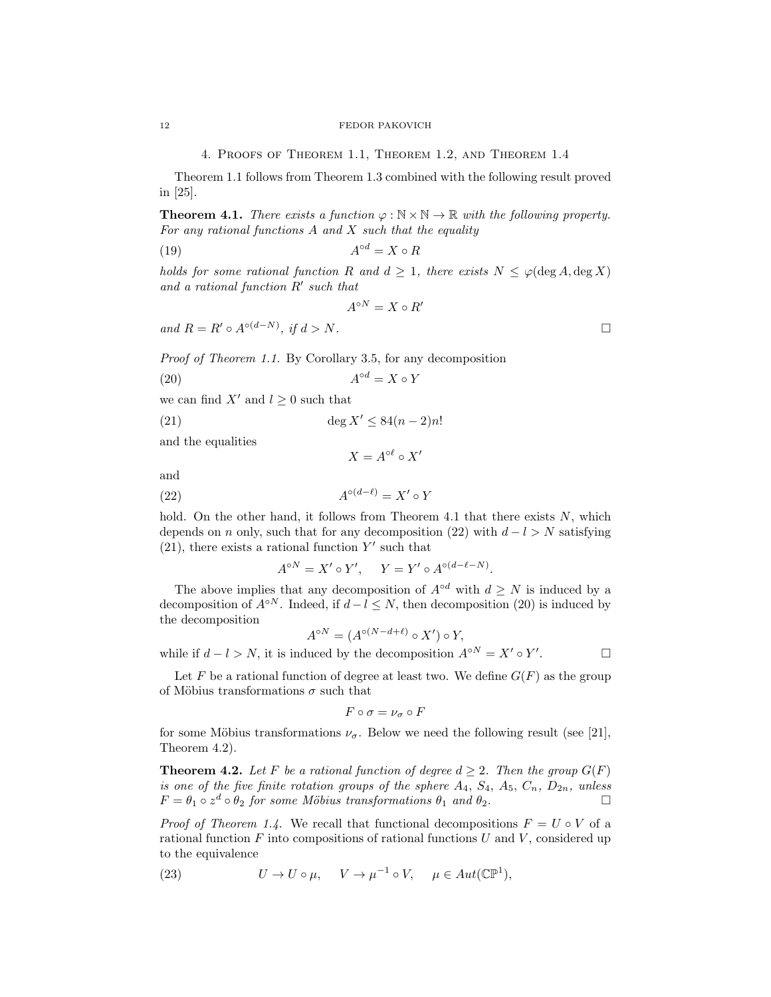4. Proofs of Theorem 1.1, Theorem 1.2, and Theorem 1.4

Theorem 1.1 follows from Theorem 1.3 combined with the following result proved in [25].

**Theorem 4.1.** *There exists a function*  $\varphi : \mathbb{N} \times \mathbb{N} \to \mathbb{R}$  *with the following property. For any rational functions* A *and* X *such that the equality*

$$
(19) \t\t A^{\circ d} = X \circ R
$$

*holds for some rational function* R and  $d \geq 1$ , there exists  $N \leq \varphi(\deg A, \deg X)$ *and a rational function* R′ *such that*

$$
A^{\circ N} = X \circ R'
$$
  
and  $R = R' \circ A^{\circ (d-N)}$ , if  $d > N$ .

*Proof of Theorem 1.1.* By Corollary 3.5, for any decomposition

$$
(20) \t\t A^{\circ d} = X \circ Y
$$

we can find  $X'$  and  $l \geq 0$  such that

(21)  $\deg X' \leq 84(n-2)n!$ 

and the equalities

 $X = A^{\circ \ell} \circ X'$ 

and

$$
(22)\qquad \qquad A^{\circ(d-\ell)} = X' \circ Y
$$

hold. On the other hand, it follows from Theorem 4.1 that there exists  $N$ , which depends on n only, such that for any decomposition (22) with  $d - l > N$  satisfying  $(21)$ , there exists a rational function Y' such that

$$
A^{\circ N} = X' \circ Y', \quad Y = Y' \circ A^{\circ(d-\ell-N)}.
$$

The above implies that any decomposition of  $A^{\circ d}$  with  $d \geq N$  is induced by a decomposition of  $A^{\circ N}$ . Indeed, if  $d-l < N$ , then decomposition (20) is induced by the decomposition

$$
A^{\circ N} = (A^{\circ (N-d+\ell)} \circ X') \circ Y,
$$

while if  $d - l > N$ , it is induced by the decomposition  $A^{\circ N} = X' \circ Y'$ . — П

Let F be a rational function of degree at least two. We define  $G(F)$  as the group of Möbius transformations  $\sigma$  such that

$$
F\circ \sigma=\nu_{\sigma}\circ F
$$

for some Möbius transformations  $\nu_{\sigma}$ . Below we need the following result (see [21], Theorem 4.2).

**Theorem 4.2.** Let F be a rational function of degree  $d \geq 2$ . Then the group  $G(F)$ *is one of the five finite rotation groups of the sphere*  $A_4$ ,  $S_4$ ,  $A_5$ ,  $C_n$ ,  $D_{2n}$ , unless  $F = \theta_1 \circ z^d \circ \theta_2$  *for some Möbius transformations*  $\theta_1$  *and*  $\theta_2$ .

*Proof of Theorem 1.4.* We recall that functional decompositions  $F = U \circ V$  of a rational function  $F$  into compositions of rational functions  $U$  and  $V$ , considered up to the equivalence

(23) 
$$
U \to U \circ \mu
$$
,  $V \to \mu^{-1} \circ V$ ,  $\mu \in Aut(\mathbb{CP}^1)$ ,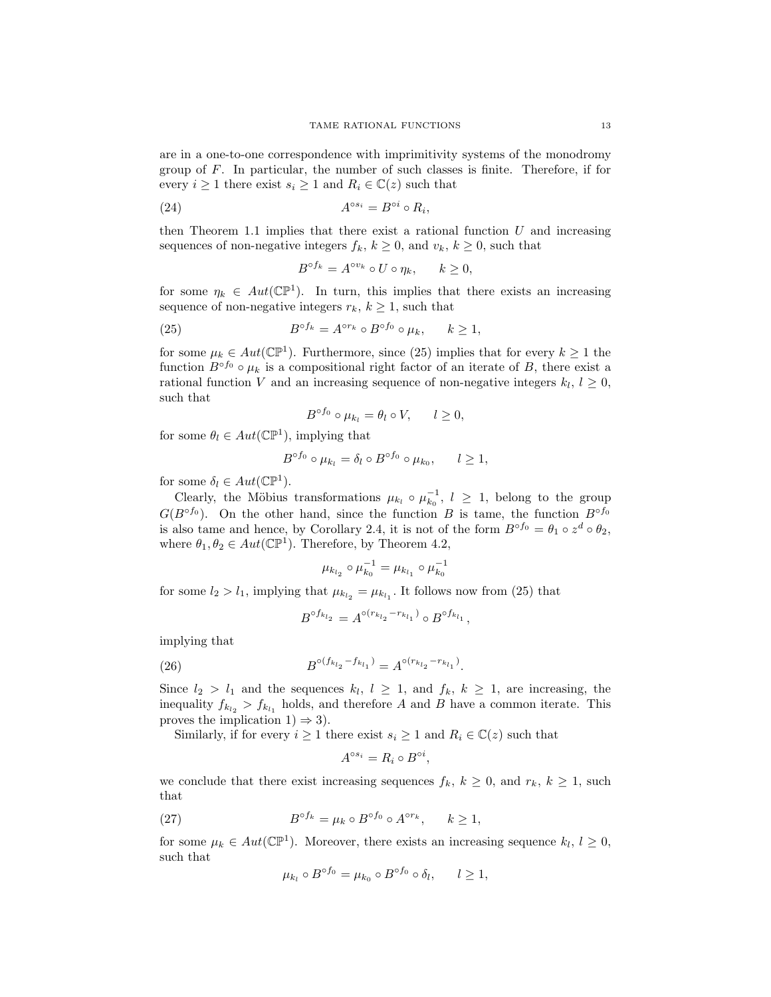are in a one-to-one correspondence with imprimitivity systems of the monodromy group of F. In particular, the number of such classes is finite. Therefore, if for every  $i \geq 1$  there exist  $s_i \geq 1$  and  $R_i \in \mathbb{C}(z)$  such that

$$
(24) \t\t\t A^{\circ s_i} = B^{\circ i} \circ R_i,
$$

then Theorem 1.1 implies that there exist a rational function  $U$  and increasing sequences of non-negative integers  $f_k$ ,  $k \geq 0$ , and  $v_k$ ,  $k \geq 0$ , such that

$$
B^{\circ f_k} = A^{\circ v_k} \circ U \circ \eta_k, \qquad k \ge 0,
$$

for some  $\eta_k \in Aut(\mathbb{CP}^1)$ . In turn, this implies that there exists an increasing sequence of non-negative integers  $r_k$ ,  $k \geq 1$ , such that

(25) 
$$
B^{\circ f_k} = A^{\circ r_k} \circ B^{\circ f_0} \circ \mu_k, \quad k \ge 1,
$$

for some  $\mu_k \in Aut(\mathbb{CP}^1)$ . Furthermore, since (25) implies that for every  $k \geq 1$  the function  $B^{\circ f_0} \circ \mu_k$  is a compositional right factor of an iterate of B, there exist a rational function V and an increasing sequence of non-negative integers  $k_l, l \geq 0$ , such that

$$
B^{\circ f_0} \circ \mu_{k_l} = \theta_l \circ V, \qquad l \ge 0,
$$

for some  $\theta_l \in Aut(\mathbb{CP}^1)$ , implying that

$$
B^{\circ f_0} \circ \mu_{k_l} = \delta_l \circ B^{\circ f_0} \circ \mu_{k_0}, \qquad l \ge 1,
$$

for some  $\delta_l \in Aut(\mathbb{CP}^1)$ .

Clearly, the Möbius transformations  $\mu_{k_l} \circ \mu_{k_0}^{-1}$ ,  $l \geq 1$ , belong to the group  $G(B^{\circ f_0})$ . On the other hand, since the function B is tame, the function  $B^{\circ f_0}$ is also tame and hence, by Corollary 2.4, it is not of the form  $B^{\circ f_0} = \theta_1 \circ z^d \circ \theta_2$ , where  $\theta_1, \theta_2 \in Aut(\mathbb{CP}^1)$ . Therefore, by Theorem 4.2,

$$
\mu_{k_{l_2}} \circ \mu_{k_0}^{-1} = \mu_{k_{l_1}} \circ \mu_{k_0}^{-1}
$$

for some  $l_2 > l_1$ , implying that  $\mu_{k_{l_2}} = \mu_{k_{l_1}}$ . It follows now from (25) that

$$
B^{\circ f_{k_{l_2}}}=A^{\circ (r_{k_{l_2}}-r_{k_{l_1}})}\circ B^{\circ f_{k_{l_1}}},
$$

implying that

(26) 
$$
B^{\circ (f_{k_{l_2}}-f_{k_{l_1}})} = A^{\circ (r_{k_{l_2}}-r_{k_{l_1}})}.
$$

Since  $l_2 > l_1$  and the sequences  $k_l, l \geq 1$ , and  $f_k, k \geq 1$ , are increasing, the inequality  $f_{k_{l_2}} > f_{k_{l_1}}$  holds, and therefore A and B have a common iterate. This proves the implication  $1) \Rightarrow 3$ .

Similarly, if for every  $i \geq 1$  there exist  $s_i \geq 1$  and  $R_i \in \mathbb{C}(z)$  such that

$$
A^{\circ s_i} = R_i \circ B^{\circ i},
$$

we conclude that there exist increasing sequences  $f_k$ ,  $k \geq 0$ , and  $r_k$ ,  $k \geq 1$ , such that

(27) 
$$
B^{\circ f_k} = \mu_k \circ B^{\circ f_0} \circ A^{\circ r_k}, \quad k \ge 1,
$$

for some  $\mu_k \in Aut(\mathbb{CP}^1)$ . Moreover, there exists an increasing sequence  $k_l, l \geq 0$ , such that

$$
\mu_{k_l} \circ B^{\circ f_0} = \mu_{k_0} \circ B^{\circ f_0} \circ \delta_l, \quad l \ge 1,
$$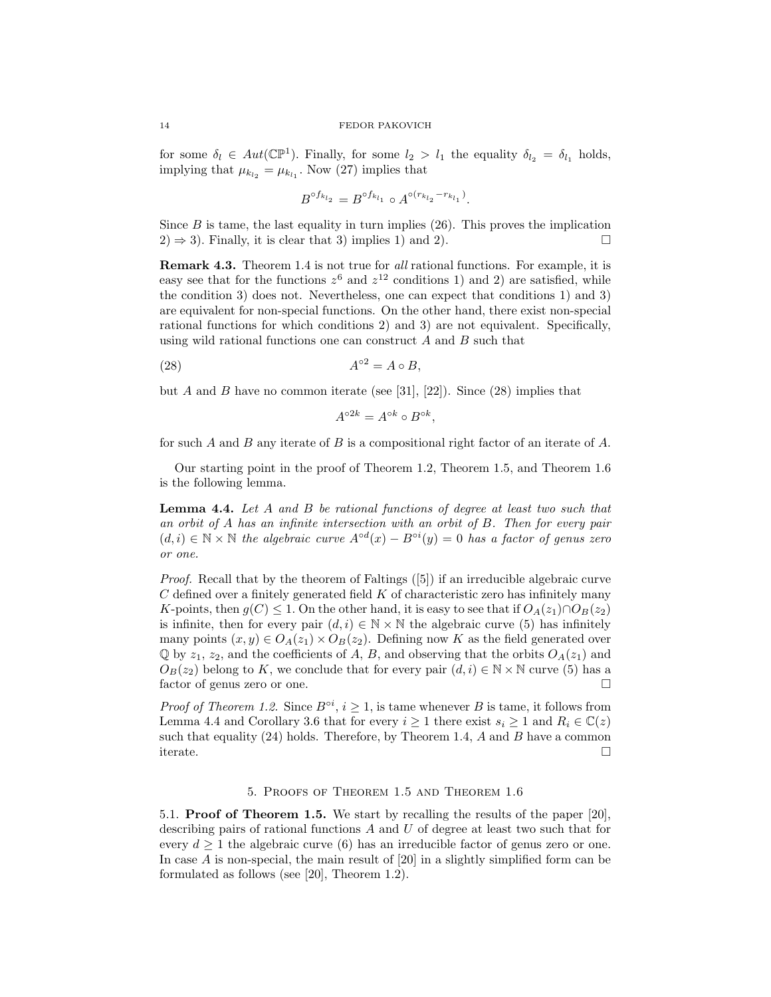for some  $\delta_l \in Aut(\mathbb{CP}^1)$ . Finally, for some  $l_2 > l_1$  the equality  $\delta_{l_2} = \delta_{l_1}$  holds, implying that  $\mu_{k_{l_2}} = \mu_{k_{l_1}}$ . Now (27) implies that

$$
B^{\circ f_{k_{l_2}}}=B^{\circ f_{k_{l_1}}}\circ A^{\circ (r_{k_{l_2}}-r_{k_{l_1}})}.
$$

Since  $B$  is tame, the last equality in turn implies  $(26)$ . This proves the implication  $(2) \Rightarrow 3$ . Finally, it is clear that 3) implies 1) and 2).

Remark 4.3. Theorem 1.4 is not true for *all* rational functions. For example, it is easy see that for the functions  $z^6$  and  $z^{12}$  conditions 1) and 2) are satisfied, while the condition 3) does not. Nevertheless, one can expect that conditions 1) and 3) are equivalent for non-special functions. On the other hand, there exist non-special rational functions for which conditions 2) and 3) are not equivalent. Specifically, using wild rational functions one can construct A and B such that

$$
(28) \t\t Ao2 = A \circ B,
$$

but A and B have no common iterate (see [31], [22]). Since (28) implies that

$$
A^{\circ 2k}=A^{\circ k}\circ B^{\circ k},
$$

for such A and B any iterate of B is a compositional right factor of an iterate of A.

Our starting point in the proof of Theorem 1.2, Theorem 1.5, and Theorem 1.6 is the following lemma.

Lemma 4.4. *Let* A *and* B *be rational functions of degree at least two such that an orbit of* A *has an infinite intersection with an orbit of* B*. Then for every pair*  $(d, i)$  ∈ N × N *the algebraic curve*  $A^{\circ d}(x) - B^{\circ i}(y) = 0$  *has a factor of genus zero or one.*

*Proof.* Recall that by the theorem of Faltings ([5]) if an irreducible algebraic curve  $C$  defined over a finitely generated field  $K$  of characteristic zero has infinitely many K-points, then  $g(C) \leq 1$ . On the other hand, it is easy to see that if  $O_A(z_1) \cap O_B(z_2)$ is infinite, then for every pair  $(d, i) \in \mathbb{N} \times \mathbb{N}$  the algebraic curve (5) has infinitely many points  $(x, y) \in O_A(z_1) \times O_B(z_2)$ . Defining now K as the field generated over  $\mathbb Q$  by  $z_1, z_2$ , and the coefficients of A, B, and observing that the orbits  $O_A(z_1)$  and  $O_B(z_2)$  belong to K, we conclude that for every pair  $(d, i) \in \mathbb{N} \times \mathbb{N}$  curve (5) has a factor of genus zero or one.

*Proof of Theorem 1.2.* Since  $B^{\circ i}$ ,  $i \geq 1$ , is tame whenever B is tame, it follows from Lemma 4.4 and Corollary 3.6 that for every  $i \geq 1$  there exist  $s_i \geq 1$  and  $R_i \in \mathbb{C}(z)$ such that equality  $(24)$  holds. Therefore, by Theorem 1.4, A and B have a common iterate.

## 5. Proofs of Theorem 1.5 and Theorem 1.6

5.1. Proof of Theorem 1.5. We start by recalling the results of the paper [20], describing pairs of rational functions A and U of degree at least two such that for every  $d \geq 1$  the algebraic curve (6) has an irreducible factor of genus zero or one. In case A is non-special, the main result of [20] in a slightly simplified form can be formulated as follows (see [20], Theorem 1.2).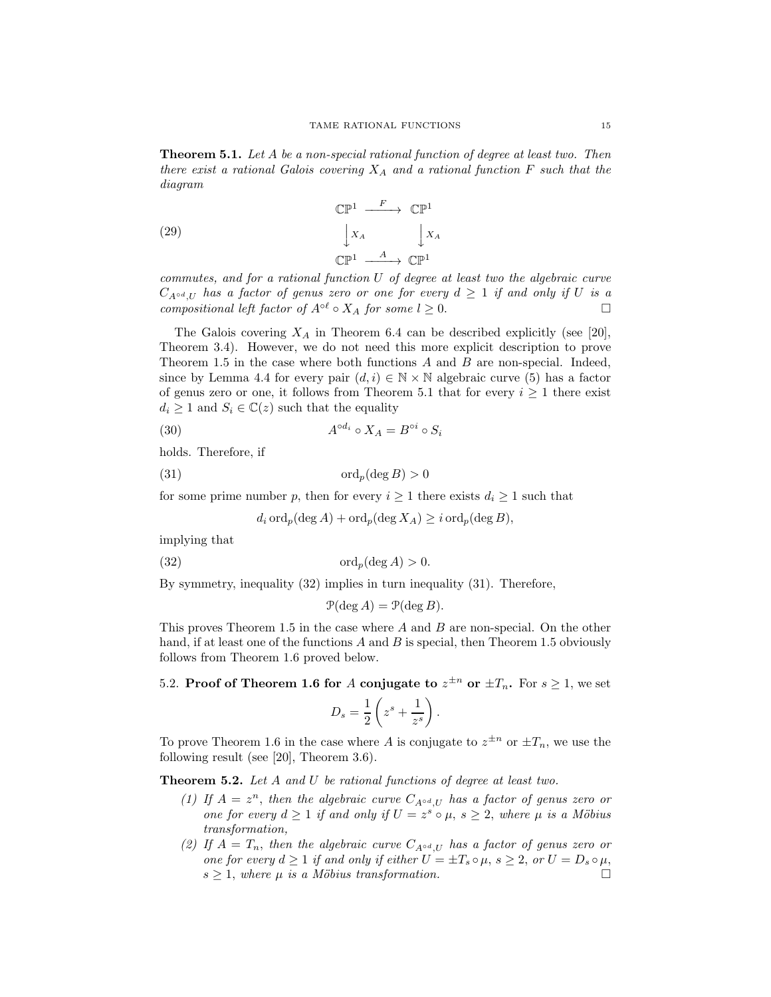Theorem 5.1. *Let* A *be a non-special rational function of degree at least two. Then there exist a rational Galois covering*  $X_A$  *and a rational function*  $F$  *such that the diagram*

(29) 
$$
\begin{array}{ccc}\n\mathbb{CP}^1 & \xrightarrow{F} & \mathbb{CP}^1 \\
\downarrow X_A & & \downarrow X_A \\
\mathbb{CP}^1 & \xrightarrow{A} & \mathbb{CP}^1\n\end{array}
$$

*commutes, and for a rational function* U *of degree at least two the algebraic curve*  $C_{A \circ d, U}$  has a factor of genus zero or one for every  $d \geq 1$  if and only if U is a *compositional left factor of*  $A^{\circ \ell} \circ X_A$  *for some*  $l \geq 0$ .

The Galois covering  $X_A$  in Theorem 6.4 can be described explicitly (see [20], Theorem 3.4). However, we do not need this more explicit description to prove Theorem 1.5 in the case where both functions  $A$  and  $B$  are non-special. Indeed, since by Lemma 4.4 for every pair  $(d, i) \in \mathbb{N} \times \mathbb{N}$  algebraic curve (5) has a factor of genus zero or one, it follows from Theorem 5.1 that for every  $i \geq 1$  there exist  $d_i \geq 1$  and  $S_i \in \mathbb{C}(z)$  such that the equality

(30) 
$$
A^{\circ d_i} \circ X_A = B^{\circ i} \circ S_i
$$

holds. Therefore, if

(31) ordp(deg B) > 0

for some prime number p, then for every  $i \geq 1$  there exists  $d_i \geq 1$  such that

$$
d_i \operatorname{ord}_p(\deg A) + \operatorname{ord}_p(\deg X_A) \ge i \operatorname{ord}_p(\deg B),
$$

implying that

(32) ordp(deg A) > 0.

By symmetry, inequality (32) implies in turn inequality (31). Therefore,

$$
\mathcal{P}(\deg A) = \mathcal{P}(\deg B).
$$

This proves Theorem 1.5 in the case where A and B are non-special. On the other hand, if at least one of the functions  $A$  and  $B$  is special, then Theorem 1.5 obviously follows from Theorem 1.6 proved below.

5.2. Proof of Theorem 1.6 for A conjugate to  $z^{\pm n}$  or  $\pm T_n$ . For  $s \geq 1$ , we set

$$
D_s = \frac{1}{2} \left( z^s + \frac{1}{z^s} \right).
$$

To prove Theorem 1.6 in the case where A is conjugate to  $z^{\pm n}$  or  $\pm T_n$ , we use the following result (see [20], Theorem 3.6).

Theorem 5.2. *Let* A *and* U *be rational functions of degree at least two.*

- (1) If  $A = z^n$ , then the algebraic curve  $C_{A \circ d, U}$  has a factor of genus zero or *one for every*  $d \geq 1$  *if and only if*  $U = z^s \circ \mu$ ,  $s \geq 2$ , where  $\mu$  *is a Möbius transformation,*
- *(2) If*  $A = T_n$ , then the algebraic curve  $C_{A \circ d, U}$  has a factor of genus zero or *one for every*  $d \geq 1$  *if and only if either*  $U = \pm T_s \circ \mu$ ,  $s \geq 2$ , *or*  $U = D_s \circ \mu$ ,  $s \geq 1$ , where  $\mu$  *is a Möbius transformation.*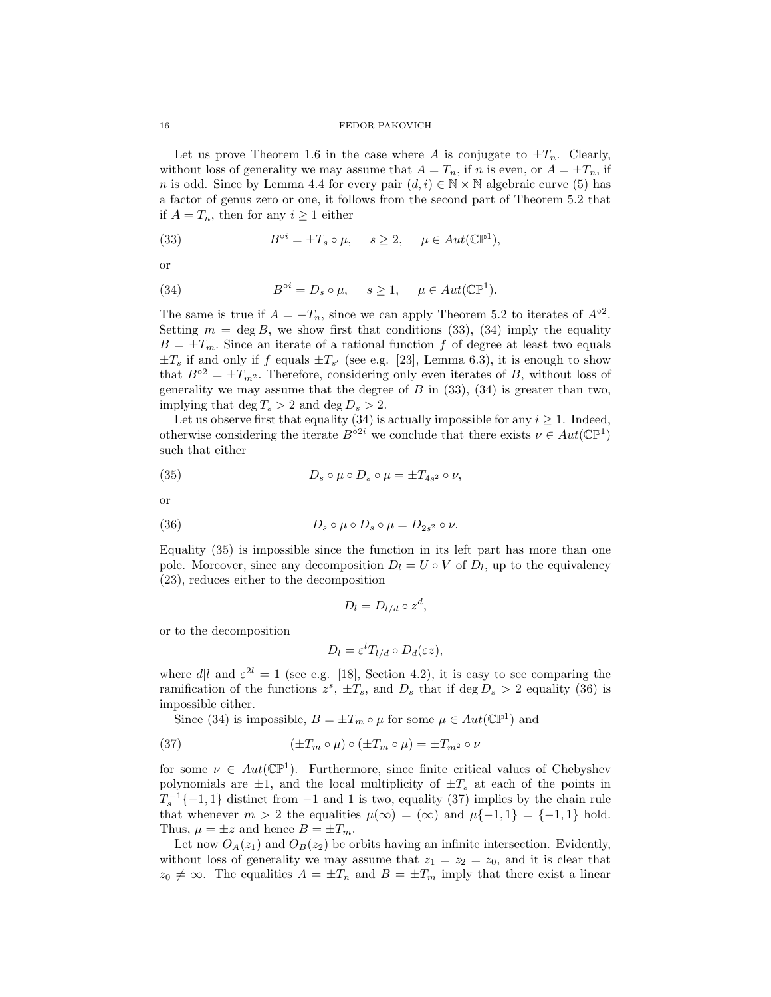Let us prove Theorem 1.6 in the case where A is conjugate to  $\pm T_n$ . Clearly, without loss of generality we may assume that  $A = T_n$ , if n is even, or  $A = \pm T_n$ , if n is odd. Since by Lemma 4.4 for every pair  $(d, i) \in \mathbb{N} \times \mathbb{N}$  algebraic curve (5) has a factor of genus zero or one, it follows from the second part of Theorem 5.2 that if  $A = T_n$ , then for any  $i \geq 1$  either

(33) 
$$
B^{\circ i} = \pm T_s \circ \mu, \quad s \ge 2, \quad \mu \in Aut(\mathbb{CP}^1),
$$

or

(34) 
$$
B^{\circ i} = D_s \circ \mu, \quad s \ge 1, \quad \mu \in Aut(\mathbb{CP}^1).
$$

The same is true if  $A = -T_n$ , since we can apply Theorem 5.2 to iterates of  $A^{\circ 2}$ . Setting  $m = \deg B$ , we show first that conditions (33), (34) imply the equality  $B = \pm T_m$ . Since an iterate of a rational function f of degree at least two equals  $\pm T_s$  if and only if f equals  $\pm T_{s'}$  (see e.g. [23], Lemma 6.3), it is enough to show that  $B^{\circ 2} = \pm T_{m^2}$ . Therefore, considering only even iterates of B, without loss of generality we may assume that the degree of  $B$  in (33), (34) is greater than two, implying that deg  $T_s > 2$  and deg  $D_s > 2$ .

Let us observe first that equality (34) is actually impossible for any  $i \geq 1$ . Indeed, otherwise considering the iterate  $B^{\circ 2i}$  we conclude that there exists  $\nu \in Aut(\mathbb{CP}^1)$ such that either

(35) 
$$
D_s \circ \mu \circ D_s \circ \mu = \pm T_{4s^2} \circ \nu,
$$

or

(36) 
$$
D_s \circ \mu \circ D_s \circ \mu = D_{2s^2} \circ \nu.
$$

Equality (35) is impossible since the function in its left part has more than one pole. Moreover, since any decomposition  $D_l = U \circ V$  of  $D_l$ , up to the equivalency (23), reduces either to the decomposition

$$
D_l = D_{l/d} \circ z^d,
$$

or to the decomposition

$$
D_l = \varepsilon^l T_{l/d} \circ D_d(\varepsilon z),
$$

where  $d\vert l$  and  $\varepsilon^{2l} = 1$  (see e.g. [18], Section 4.2), it is easy to see comparing the ramification of the functions  $z^s$ ,  $\pm T_s$ , and  $D_s$  that if deg  $D_s > 2$  equality (36) is impossible either.

Since (34) is impossible,  $B = \pm T_m \circ \mu$  for some  $\mu \in Aut(\mathbb{CP}^1)$  and

(37) 
$$
(\pm T_m \circ \mu) \circ (\pm T_m \circ \mu) = \pm T_{m^2} \circ \nu
$$

for some  $\nu \in Aut(\mathbb{CP}^1)$ . Furthermore, since finite critical values of Chebyshev polynomials are  $\pm 1$ , and the local multiplicity of  $\pm T_s$  at each of the points in  $T_s^{-1}\{-1,1\}$  distinct from  $-1$  and 1 is two, equality (37) implies by the chain rule that whenever  $m > 2$  the equalities  $\mu(\infty) = (\infty)$  and  $\mu\{-1,1\} = \{-1,1\}$  hold. Thus,  $\mu = \pm z$  and hence  $B = \pm T_m$ .

Let now  $O_A(z_1)$  and  $O_B(z_2)$  be orbits having an infinite intersection. Evidently, without loss of generality we may assume that  $z_1 = z_2 = z_0$ , and it is clear that  $z_0 \neq \infty$ . The equalities  $A = \pm T_n$  and  $B = \pm T_m$  imply that there exist a linear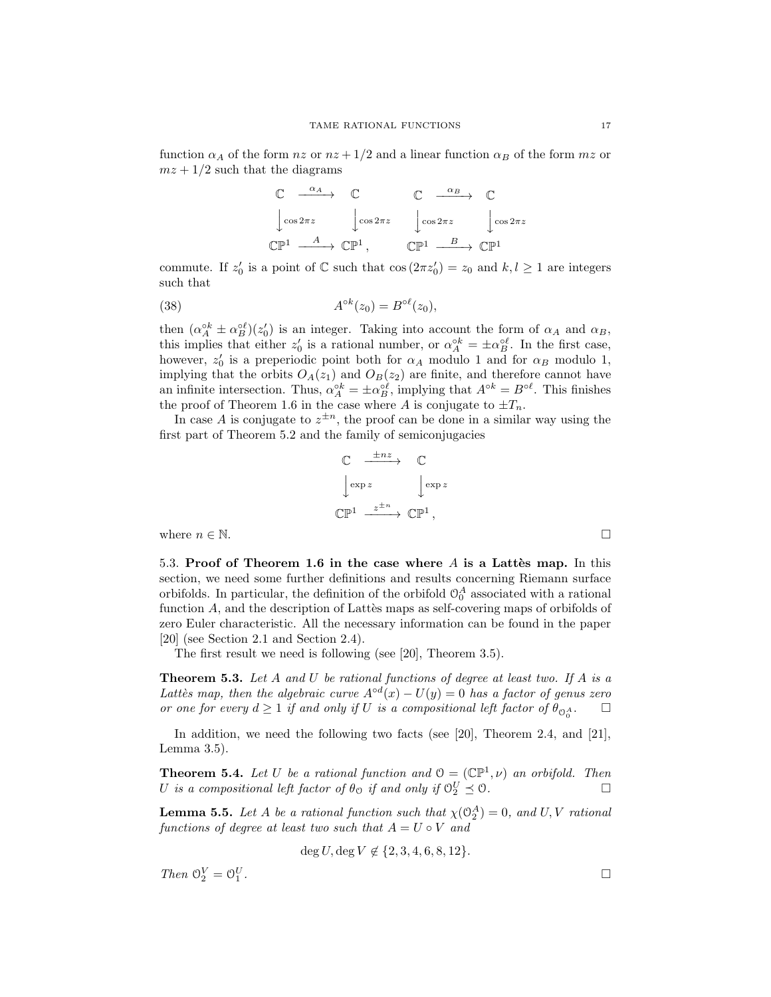function  $\alpha_A$  of the form  $nz$  or  $nz + 1/2$  and a linear function  $\alpha_B$  of the form  $mz$  or  $mz + 1/2$  such that the diagrams

$$
\begin{array}{ccc}\n\mathbb{C} & \xrightarrow{\alpha_A} & \mathbb{C} & \mathbb{C} & \xrightarrow{\alpha_B} & \mathbb{C} \\
\downarrow \cos 2\pi z & & \downarrow \cos 2\pi z & & \downarrow \cos 2\pi z & & \downarrow \cos 2\pi z \\
\mathbb{C}\mathbb{P}^1 & \xrightarrow{A} & \mathbb{C}\mathbb{P}^1, & & \mathbb{C}\mathbb{P}^1 & \xrightarrow{B} & \mathbb{C}\mathbb{P}^1\n\end{array}
$$

commute. If  $z'_0$  is a point of  $\mathbb C$  such that  $\cos(2\pi z'_0) = z_0$  and  $k, l \ge 1$  are integers such that

(38) 
$$
A^{\circ k}(z_0) = B^{\circ \ell}(z_0),
$$

then  $(\alpha_A^{\circ k} \pm \alpha_B^{\circ \ell})(z_0')$  is an integer. Taking into account the form of  $\alpha_A$  and  $\alpha_B$ , this implies that either  $z'_0$  is a rational number, or  $\alpha_A^{\circ k} = \pm \alpha_B^{\circ \ell}$ . In the first case, however,  $z'_0$  is a preperiodic point both for  $\alpha_A$  modulo 1 and for  $\alpha_B$  modulo 1, implying that the orbits  $O_A(z_1)$  and  $O_B(z_2)$  are finite, and therefore cannot have an infinite intersection. Thus,  $\alpha_A^{\circ k} = \pm \alpha_B^{\circ \ell}$ , implying that  $A^{\circ k} = B^{\circ \ell}$ . This finishes the proof of Theorem 1.6 in the case where A is conjugate to  $\pm T_n$ .

In case A is conjugate to  $z^{\pm n}$ , the proof can be done in a similar way using the first part of Theorem 5.2 and the family of semiconjugacies

$$
\mathbb{C} \xrightarrow{\pm nz} \mathbb{C}
$$
  

$$
\downarrow \exp z \qquad \downarrow \exp z
$$
  

$$
\mathbb{CP}^1 \xrightarrow{z^{\pm n}} \mathbb{CP}^1,
$$
  
where  $n \in \mathbb{N}$ .

5.3. Proof of Theorem 1.6 in the case where A is a Latter map. In this section, we need some further definitions and results concerning Riemann surface orbifolds. In particular, the definition of the orbifold  $\mathcal{O}_0^A$  associated with a rational function  $A$ , and the description of Lattes maps as self-covering maps of orbifolds of zero Euler characteristic. All the necessary information can be found in the paper [20] (see Section 2.1 and Section 2.4).

The first result we need is following (see [20], Theorem 3.5).

Theorem 5.3. *Let* A *and* U *be rational functions of degree at least two. If* A *is a* Lattès map, then the algebraic curve  $A^{\circ d}(x) - U(y) = 0$  has a factor of genus zero *or one for every*  $d \geq 1$  *if and only if* U *is a compositional left factor of*  $\theta_{Q_0^A}$ .  $\Box$ 

In addition, we need the following two facts (see [20], Theorem 2.4, and [21], Lemma 3.5).

**Theorem 5.4.** Let U be a rational function and  $\mathcal{O} = (\mathbb{CP}^1, \nu)$  an orbifold. Then U is a compositional left factor of  $\theta_o$  if and only if  $\mathcal{O}_2^U \preceq \mathcal{O}$ .

**Lemma 5.5.** Let A be a rational function such that  $\chi(\mathcal{O}_2^A) = 0$ , and U, V rational *functions of degree at least two such that*  $A = U \circ V$  *and* 

$$
\deg U, \deg V \notin \{2, 3, 4, 6, 8, 12\}.
$$

*Then*  $\mathcal{O}_2^V = \mathcal{O}_1^U$ 

*.*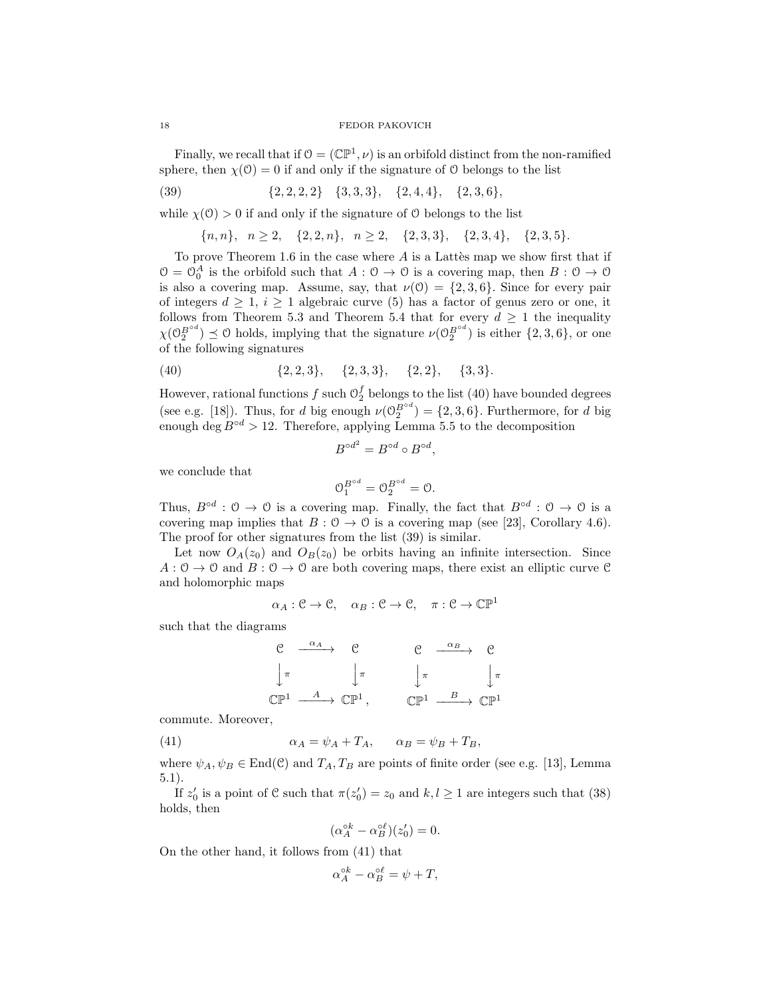### 18 FEDOR PAKOVICH

Finally, we recall that if  $\mathcal{O} = (\mathbb{CP}^1, \nu)$  is an orbifold distinct from the non-ramified sphere, then  $\chi(0) = 0$  if and only if the signature of 0 belongs to the list

$$
(39) \qquad \qquad \{2,2,2,2\} \quad \{3,3,3\}, \quad \{2,4,4\}, \quad \{2,3,6\},
$$

while  $\chi(0) > 0$  if and only if the signature of 0 belongs to the list

$$
\{n, n\}, \quad n \ge 2, \quad \{2, 2, n\}, \quad n \ge 2, \quad \{2, 3, 3\}, \quad \{2, 3, 4\}, \quad \{2, 3, 5\}.
$$

To prove Theorem 1.6 in the case where  $A$  is a Lattes map we show first that if  $\mathcal{O} = \mathcal{O}_0^A$  is the orbifold such that  $A: \mathcal{O} \to \mathcal{O}$  is a covering map, then  $B: \mathcal{O} \to \mathcal{O}$ is also a covering map. Assume, say, that  $\nu(0) = \{2, 3, 6\}$ . Since for every pair of integers  $d \geq 1$ ,  $i \geq 1$  algebraic curve (5) has a factor of genus zero or one, it follows from Theorem 5.3 and Theorem 5.4 that for every  $d \geq 1$  the inequality  $\chi(\mathcal{O}_2^{B^{\circ d}}) \preceq \mathcal{O}$  holds, implying that the signature  $\nu(\mathcal{O}_2^{B^{\circ d}})$  is either  $\{2,3,6\}$ , or one of the following signatures

$$
(40) \qquad \qquad \{2,2,3\}, \quad \{2,3,3\}, \quad \{2,2\}, \quad \{3,3\}.
$$

However, rational functions  $f$  such  $\mathcal{O}_2^f$  belongs to the list (40) have bounded degrees (see e.g. [18]). Thus, for d big enough  $\nu(\mathcal{O}_2^{B^{\circ d}}) = \{2, 3, 6\}$ . Furthermore, for d big enough deg  $B^{\circ d} > 12$ . Therefore, applying Lemma 5.5 to the decomposition

$$
B^{\circ d^2} = B^{\circ d} \circ B^{\circ d},
$$

we conclude that

$$
\mathcal{O}_1^{B^{\circ d}} = \mathcal{O}_2^{B^{\circ d}} = \mathcal{O}.
$$

Thus,  $B^{\circ d}$ :  $0 \to 0$  is a covering map. Finally, the fact that  $B^{\circ d}$ :  $0 \to 0$  is a covering map implies that  $B: \mathcal{O} \to \mathcal{O}$  is a covering map (see [23], Corollary 4.6). The proof for other signatures from the list (39) is similar.

Let now  $O_A(z_0)$  and  $O_B(z_0)$  be orbits having an infinite intersection. Since  $A: \mathcal{O} \to \mathcal{O}$  and  $B: \mathcal{O} \to \mathcal{O}$  are both covering maps, there exist an elliptic curve  $\mathcal{O}$ and holomorphic maps

$$
\alpha_A: \mathcal{C} \to \mathcal{C}, \quad \alpha_B: \mathcal{C} \to \mathcal{C}, \quad \pi: \mathcal{C} \to \mathbb{CP}^1
$$

such that the diagrams

$$
\begin{array}{ccccccccc}\n\mathbf{C} & \xrightarrow{\alpha_A} & \mathbf{C} & & & \\
\downarrow \pi & & & & & \\
\mathbb{C}\mathbb{P}^1 & & & & \\
\end{array}\n\begin{array}{ccccccccc}\n\mathbf{C} & & & & \\
\downarrow \pi & & & & \\
\mathbb{C}\mathbb{P}^1 & & & & \\
\end{array}\n\begin{array}{ccccccccc}\n\mathbf{C} & & & & \\
\downarrow \pi & & & & \\
\end{array}\n\begin{array}{ccccccccc}\n\mathbf{C} & & & & \\
\hline\n\end{array}\n\begin{array}{ccccccccc}\n\mathbf{C} & & & & \\
\hline\n\end{array}\n\begin{array}{ccccccccc}\n\mathbf{C} & & & & \\
\hline\n\end{array}\n\begin{array}{ccccccccc}\n\mathbf{C} & & & & \\
\hline\n\end{array}\n\begin{array}{ccccccccc}\n\mathbf{C} & & & & \\
\hline\n\end{array}\n\end{array}
$$

commute. Moreover,

(41) 
$$
\alpha_A = \psi_A + T_A, \qquad \alpha_B = \psi_B + T_B,
$$

where  $\psi_A, \psi_B \in \text{End}(\mathcal{C})$  and  $T_A, T_B$  are points of finite order (see e.g. [13], Lemma 5.1).

If  $z'_0$  is a point of C such that  $\pi(z'_0) = z_0$  and  $k, l \ge 1$  are integers such that (38) holds, then

$$
(\alpha_A^{\circ k} - \alpha_B^{\circ \ell})(z_0') = 0.
$$

On the other hand, it follows from (41) that

$$
\alpha_A^{\circ k}-\alpha_B^{\circ \ell}=\psi+T,
$$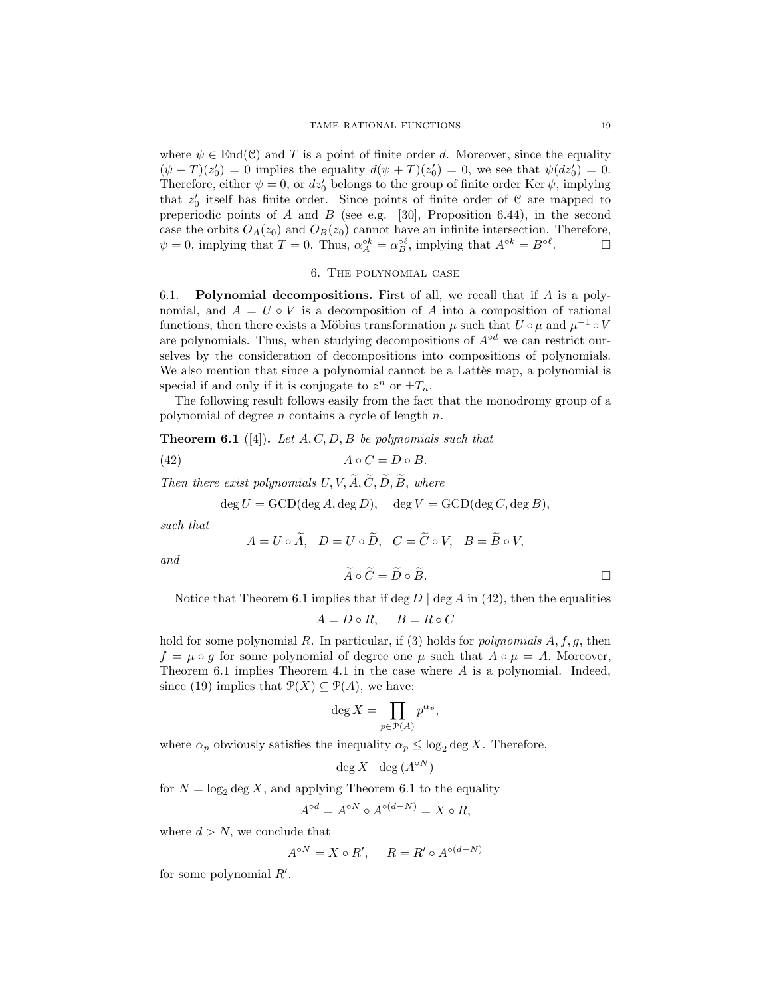where  $\psi \in \text{End}(\mathcal{C})$  and T is a point of finite order d. Moreover, since the equality  $(\psi + T)(z'_0) = 0$  implies the equality  $d(\psi + T)(z'_0) = 0$ , we see that  $\psi(dz'_0) = 0$ . Therefore, either  $\psi = 0$ , or  $dz'_0$  belongs to the group of finite order Ker  $\psi$ , implying that  $z'_0$  itself has finite order. Since points of finite order of  $\mathcal C$  are mapped to preperiodic points of A and B (see e.g. [30], Proposition 6.44), in the second case the orbits  $O_A(z_0)$  and  $O_B(z_0)$  cannot have an infinite intersection. Therefore,  $\psi = 0$ , implying that  $T = 0$ . Thus,  $\alpha_A^{\circ k} = \alpha_B^{\circ \ell}$ , implying that  $A^{\circ k} = B^{\circ \ell}$  $\Box$ 

# 6. The polynomial case

6.1. Polynomial decompositions. First of all, we recall that if  $A$  is a polynomial, and  $A = U \circ V$  is a decomposition of A into a composition of rational functions, then there exists a Möbius transformation  $\mu$  such that  $U \circ \mu$  and  $\mu^{-1} \circ V$ are polynomials. Thus, when studying decompositions of  $A^{\circ d}$  we can restrict ourselves by the consideration of decompositions into compositions of polynomials. We also mention that since a polynomial cannot be a Lattes map, a polynomial is special if and only if it is conjugate to  $z^n$  or  $\pm T_n$ .

The following result follows easily from the fact that the monodromy group of a polynomial of degree  $n$  contains a cycle of length  $n$ .

Theorem 6.1 ([4]). *Let* A, C, D, B *be polynomials such that*

$$
(42) \t\t\t A \circ C = D \circ B.
$$

*Then there exist polynomials*  $U, V, \widetilde{A}, \widetilde{C}, \widetilde{D}, \widetilde{B}$ , where

$$
\deg U = \text{GCD}(\deg A, \deg D), \quad \deg V = \text{GCD}(\deg C, \deg B),
$$

*such that*

$$
A = U \circ A, \quad D = U \circ D, \quad C = \tilde{C} \circ V, \quad B = B \circ V,
$$

*and*

$$
\widetilde{A} \circ \widetilde{C} = \widetilde{D} \circ \widetilde{B}.
$$

Notice that Theorem 6.1 implies that if deg D  $\vert$  deg A in (42), then the equalities

$$
A = D \circ R, \quad B = R \circ C
$$

hold for some polynomial R. In particular, if (3) holds for *polynomials* A, f, g, then  $f = \mu \circ g$  for some polynomial of degree one  $\mu$  such that  $A \circ \mu = A$ . Moreover, Theorem 6.1 implies Theorem 4.1 in the case where A is a polynomial. Indeed, since (19) implies that  $\mathcal{P}(X) \subseteq \mathcal{P}(A)$ , we have:

$$
\deg X = \prod_{p \in \mathcal{P}(A)} p^{\alpha_p},
$$

where  $\alpha_p$  obviously satisfies the inequality  $\alpha_p \leq \log_2 \deg X$ . Therefore,

$$
\deg X \mid \deg\left(A^{\circ N}\right)
$$

for  $N = \log_2 \deg X$ , and applying Theorem 6.1 to the equality

$$
A^{\circ d} = A^{\circ N} \circ A^{\circ (d-N)} = X \circ R,
$$

where  $d > N$ , we conclude that

$$
A^{\circ N} = X \circ R', \quad R = R' \circ A^{\circ (d-N)}
$$

for some polynomial  $R'$ .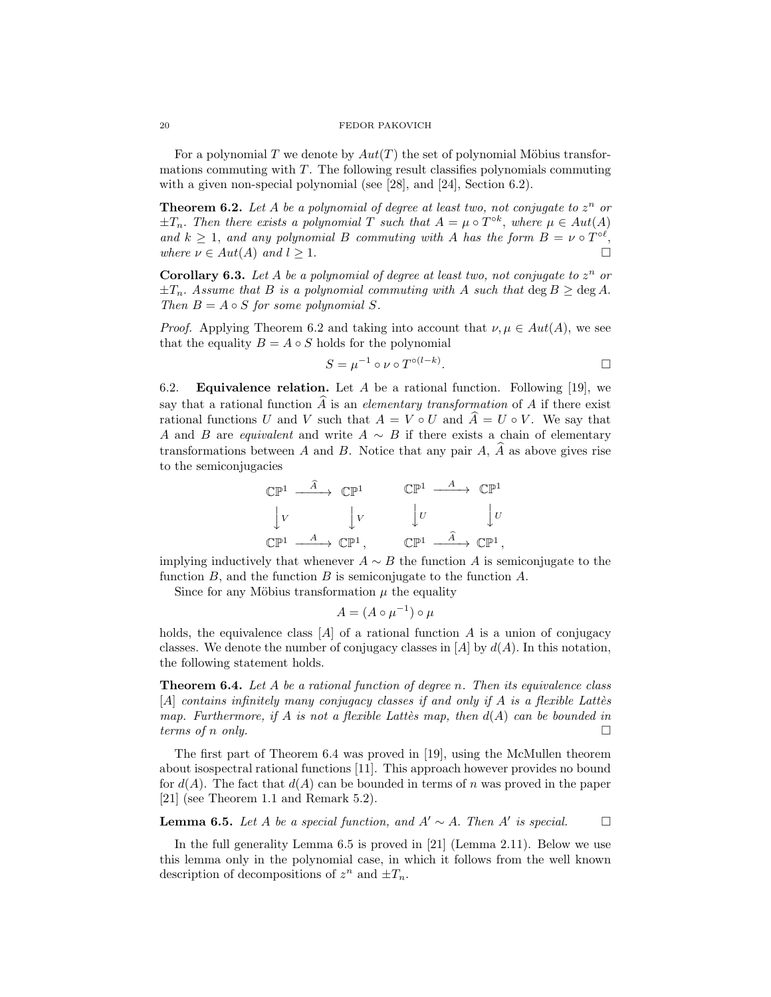### 20 FEDOR PAKOVICH

For a polynomial T we denote by  $Aut(T)$  the set of polynomial Möbius transformations commuting with  $T$ . The following result classifies polynomials commuting with a given non-special polynomial (see [28], and [24], Section 6.2).

**Theorem 6.2.** Let A be a polynomial of degree at least two, not conjugate to  $z^n$  or  $\pm T_n$ . Then there exists a polynomial T such that  $A = \mu \circ T^{\circ k}$ , where  $\mu \in Aut(A)$ and  $k \geq 1$ , and any polynomial B commuting with A has the form  $B = \nu \circ T^{\circ \ell}$ , *where*  $\nu \in Aut(A)$  *and*  $l > 1$ .

**Corollary 6.3.** Let A be a polynomial of degree at least two, not conjugate to  $z^n$  or  $\pm T_n$ . Assume that B is a polynomial commuting with A such that  $\deg B \geq \deg A$ . *Then*  $B = A \circ S$  *for some polynomial*  $S$ *.* 

*Proof.* Applying Theorem 6.2 and taking into account that  $\nu, \mu \in Aut(A)$ , we see that the equality  $B = A \circ S$  holds for the polynomial

$$
S = \mu^{-1} \circ \nu \circ T^{\circ (l-k)}.
$$

6.2. **Equivalence relation.** Let A be a rational function. Following [19], we say that a rational function  $\widehat{A}$  is an *elementary transformation* of A if there exist rational functions U and V such that  $A = V \circ U$  and  $\hat{A} = U \circ V$ . We say that A and B are *equivalent* and write  $A \sim B$  if there exists a chain of elementary transformations between A and B. Notice that any pair A,  $\widehat{A}$  as above gives rise to the semiconjugacies



implying inductively that whenever  $A \sim B$  the function A is semiconjugate to the function  $B$ , and the function  $B$  is semiconjugate to the function  $A$ .

Since for any Möbius transformation  $\mu$  the equality

$$
A = (A \circ \mu^{-1}) \circ \mu
$$

holds, the equivalence class  $[A]$  of a rational function A is a union of conjugacy classes. We denote the number of conjugacy classes in  $|A|$  by  $d(A)$ . In this notation, the following statement holds.

Theorem 6.4. *Let* A *be a rational function of degree* n*. Then its equivalence class* [A] *contains infinitely many conjugacy classes if and only if* A *is a flexible Latter map. Furthermore, if* A *is not a flexible Latt`es map, then* d(A) *can be bounded in terms of* n *only.*

The first part of Theorem 6.4 was proved in [19], using the McMullen theorem about isospectral rational functions [11]. This approach however provides no bound for  $d(A)$ . The fact that  $d(A)$  can be bounded in terms of n was proved in the paper [21] (see Theorem 1.1 and Remark 5.2).

**Lemma 6.5.** *Let A be a special function, and*  $A' \sim A$ *. Then*  $A'$  *is special.* □

In the full generality Lemma 6.5 is proved in [21] (Lemma 2.11). Below we use this lemma only in the polynomial case, in which it follows from the well known description of decompositions of  $z^n$  and  $\pm T_n$ .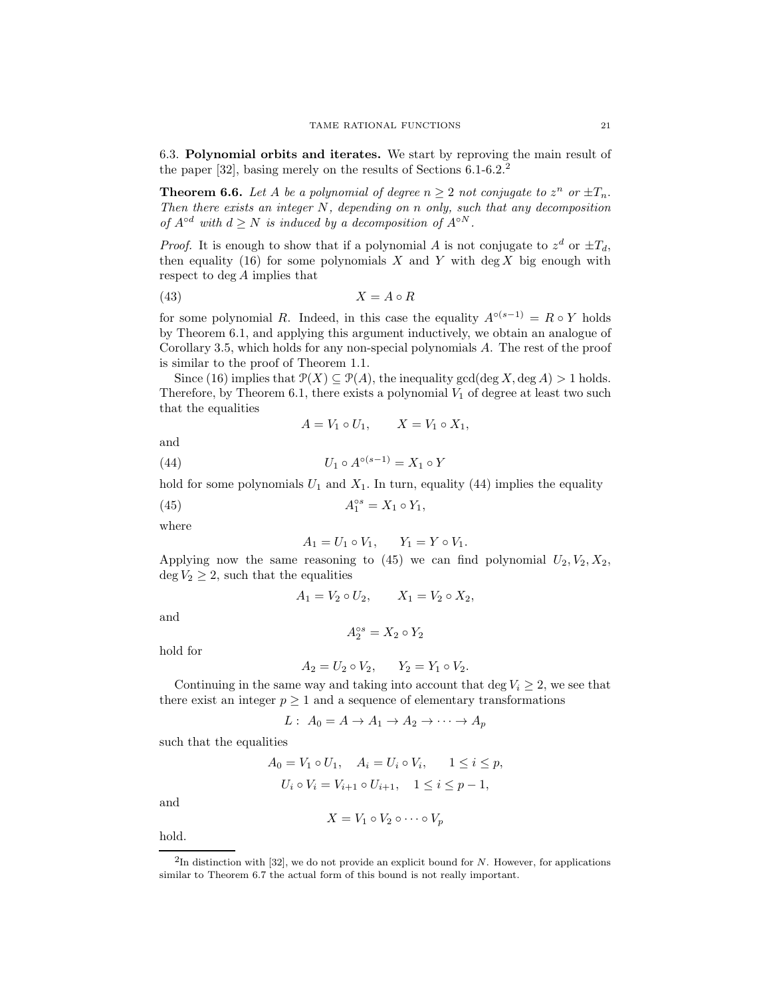6.3. Polynomial orbits and iterates. We start by reproving the main result of the paper [32], basing merely on the results of Sections 6.1-6.2.<sup>2</sup>

**Theorem 6.6.** Let A be a polynomial of degree  $n \geq 2$  not conjugate to  $z^n$  or  $\pm T_n$ . *Then there exists an integer* N*, depending on* n *only, such that any decomposition of*  $A^{\circ d}$  *with*  $d \geq N$  *is induced by a decomposition of*  $A^{\circ N}$ *.* 

*Proof.* It is enough to show that if a polynomial A is not conjugate to  $z^d$  or  $\pm T_d$ , then equality (16) for some polynomials  $X$  and  $Y$  with deg  $X$  big enough with respect to deg A implies that

$$
(43) \t\t X = A \circ R
$$

for some polynomial R. Indeed, in this case the equality  $A^{\circ(s-1)} = R \circ Y$  holds by Theorem 6.1, and applying this argument inductively, we obtain an analogue of Corollary 3.5, which holds for any non-special polynomials A. The rest of the proof is similar to the proof of Theorem 1.1.

Since (16) implies that  $\mathcal{P}(X) \subseteq \mathcal{P}(A)$ , the inequality gcd(deg X, deg A) > 1 holds. Therefore, by Theorem 6.1, there exists a polynomial  $V_1$  of degree at least two such that the equalities

$$
A = V_1 \circ U_1, \qquad X = V_1 \circ X_1,
$$

and

$$
(44) \t\t\t U_1 \circ A^{\circ (s-1)} = X_1 \circ Y
$$

hold for some polynomials  $U_1$  and  $X_1$ . In turn, equality (44) implies the equality

(45) 
$$
A_1^{\circ s} = X_1 \circ Y_1,
$$

where

$$
A_1 = U_1 \circ V_1, \qquad Y_1 = Y \circ V_1.
$$

Applying now the same reasoning to (45) we can find polynomial  $U_2, V_2, X_2$ ,  $\deg V_2 \geq 2$ , such that the equalities

$$
A_1 = V_2 \circ U_2, \qquad X_1 = V_2 \circ X_2,
$$

and

$$
A_2^{\circ s}=X_2\circ Y_2
$$

hold for

$$
A_2 = U_2 \circ V_2, \qquad Y_2 = Y_1 \circ V_2.
$$

Continuing in the same way and taking into account that deg  $V_i \geq 2$ , we see that there exist an integer  $p \geq 1$  and a sequence of elementary transformations

$$
L: A_0 = A \to A_1 \to A_2 \to \cdots \to A_p
$$

such that the equalities

$$
A_0 = V_1 \circ U_1, \quad A_i = U_i \circ V_i, \quad 1 \le i \le p,
$$
  

$$
U_i \circ V_i = V_{i+1} \circ U_{i+1}, \quad 1 \le i \le p-1,
$$

and

$$
X = V_1 \circ V_2 \circ \cdots \circ V_p
$$

hold.

 ${}^{2}$ In distinction with [32], we do not provide an explicit bound for N. However, for applications similar to Theorem 6.7 the actual form of this bound is not really important.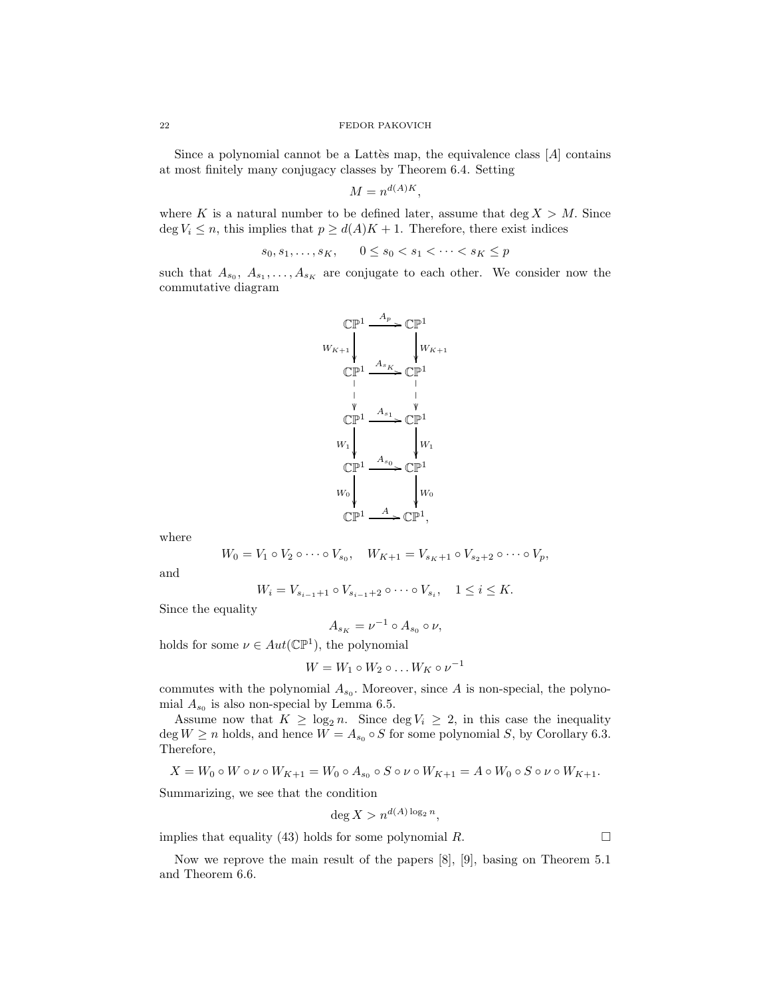Since a polynomial cannot be a Lattes map, the equivalence class  $[A]$  contains at most finitely many conjugacy classes by Theorem 6.4. Setting

$$
M = n^{d(A)K},
$$

where K is a natural number to be defined later, assume that deg  $X > M$ . Since  $\deg V_i \leq n$ , this implies that  $p \geq d(A)K + 1$ . Therefore, there exist indices

$$
s_0, s_1, \ldots, s_K, \quad 0 \le s_0 < s_1 < \cdots < s_K \le p
$$

such that  $A_{s_0}, A_{s_1}, \ldots, A_{s_K}$  are conjugate to each other. We consider now the commutative diagram



where

$$
W_0 = V_1 \circ V_2 \circ \cdots \circ V_{s_0}, \quad W_{K+1} = V_{s_K+1} \circ V_{s_2+2} \circ \cdots \circ V_p,
$$

and

$$
W_i = V_{s_{i-1}+1} \circ V_{s_{i-1}+2} \circ \cdots \circ V_{s_i}, \quad 1 \le i \le K.
$$

Since the equality

$$
A_{s_K} = \nu^{-1} \circ A_{s_0} \circ \nu,
$$

holds for some  $\nu \in Aut(\mathbb{CP}^1)$ , the polynomial

$$
W = W_1 \circ W_2 \circ \dots W_K \circ \nu^{-1}
$$

commutes with the polynomial  $A_{s_0}$ . Moreover, since A is non-special, the polynomial  $A_{s_0}$  is also non-special by Lemma 6.5.

Assume now that  $K \geq \log_2 n$ . Since  $\deg V_i \geq 2$ , in this case the inequality deg  $W \ge n$  holds, and hence  $W = A_{s_0} \circ S$  for some polynomial S, by Corollary 6.3. Therefore,

$$
X = W_0 \circ W \circ \nu \circ W_{K+1} = W_0 \circ A_{s_0} \circ S \circ \nu \circ W_{K+1} = A \circ W_0 \circ S \circ \nu \circ W_{K+1}.
$$

Summarizing, we see that the condition

$$
\deg X > n^{d(A)\log_2 n},
$$

implies that equality (43) holds for some polynomial R.  $\Box$ 

Now we reprove the main result of the papers [8], [9], basing on Theorem 5.1 and Theorem 6.6.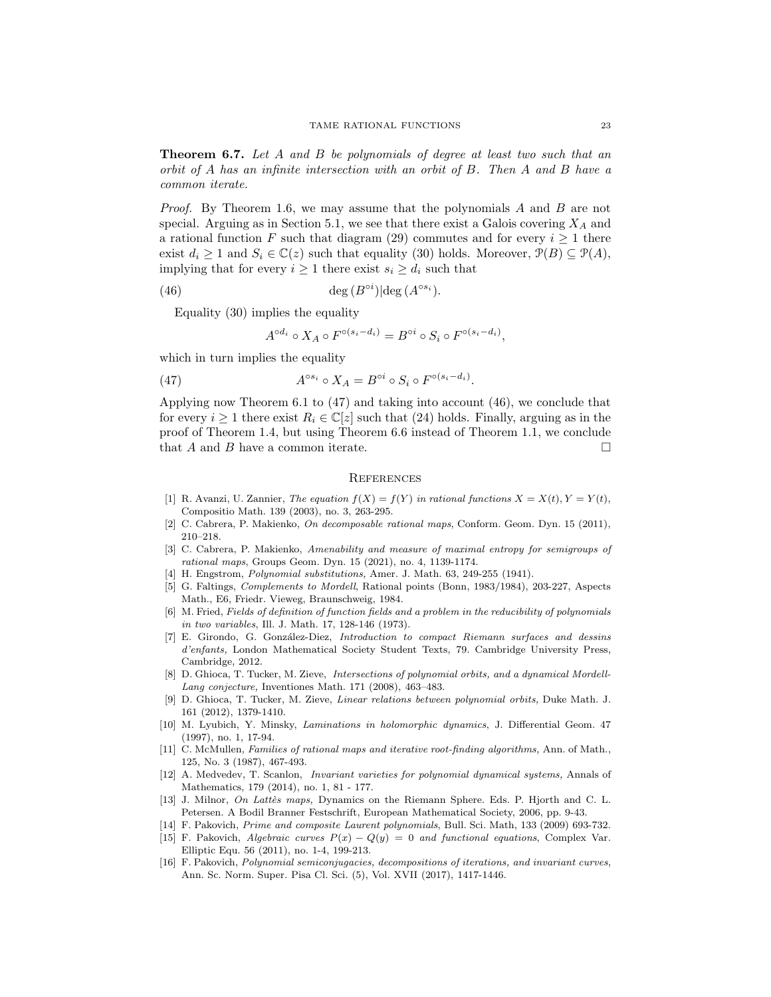Theorem 6.7. *Let* A *and* B *be polynomials of degree at least two such that an orbit of* A *has an infinite intersection with an orbit of* B*. Then* A *and* B *have a common iterate.*

*Proof.* By Theorem 1.6, we may assume that the polynomials A and B are not special. Arguing as in Section 5.1, we see that there exist a Galois covering  $X_A$  and a rational function F such that diagram (29) commutes and for every  $i \geq 1$  there exist  $d_i \geq 1$  and  $S_i \in \mathbb{C}(z)$  such that equality (30) holds. Moreover,  $\mathcal{P}(B) \subseteq \mathcal{P}(A)$ , implying that for every  $i \geq 1$  there exist  $s_i \geq d_i$  such that

(46) 
$$
\deg(B^{\circ i})|\deg(A^{\circ s_i}).
$$

Equality (30) implies the equality

$$
A^{\circ d_i} \circ X_A \circ F^{\circ (s_i - d_i)} = B^{\circ i} \circ S_i \circ F^{\circ (s_i - d_i)},
$$

which in turn implies the equality

(47) 
$$
A^{\circ s_i} \circ X_A = B^{\circ i} \circ S_i \circ F^{\circ (s_i - d_i)}.
$$

Applying now Theorem 6.1 to (47) and taking into account (46), we conclude that for every  $i \geq 1$  there exist  $R_i \in \mathbb{C}[z]$  such that (24) holds. Finally, arguing as in the proof of Theorem 1.4, but using Theorem 6.6 instead of Theorem 1.1, we conclude that A and B have a common iterate.  $\Box$ 

### **REFERENCES**

- [1] R. Avanzi, U. Zannier, The equation  $f(X) = f(Y)$  in rational functions  $X = X(t)$ ,  $Y = Y(t)$ , Compositio Math. 139 (2003), no. 3, 263-295.
- [2] C. Cabrera, P. Makienko, On decomposable rational maps, Conform. Geom. Dyn. 15 (2011), 210–218.
- [3] C. Cabrera, P. Makienko, Amenability and measure of maximal entropy for semigroups of rational maps, Groups Geom. Dyn. 15 (2021), no. 4, 1139-1174.
- [4] H. Engstrom, Polynomial substitutions, Amer. J. Math. 63, 249-255 (1941).
- [5] G. Faltings, Complements to Mordell, Rational points (Bonn, 1983/1984), 203-227, Aspects Math., E6, Friedr. Vieweg, Braunschweig, 1984.
- [6] M. Fried, Fields of definition of function fields and a problem in the reducibility of polynomials in two variables, Ill. J. Math. 17, 128-146 (1973).
- [7] E. Girondo, G. González-Diez, Introduction to compact Riemann surfaces and dessins d'enfants, London Mathematical Society Student Texts, 79. Cambridge University Press, Cambridge, 2012.
- [8] D. Ghioca, T. Tucker, M. Zieve, *Intersections of polynomial orbits, and a dynamical Mordell-*Lang conjecture, Inventiones Math. 171 (2008), 463–483.
- [9] D. Ghioca, T. Tucker, M. Zieve, Linear relations between polynomial orbits, Duke Math. J. 161 (2012), 1379-1410.
- [10] M. Lyubich, Y. Minsky, Laminations in holomorphic dynamics, J. Differential Geom. 47 (1997), no. 1, 17-94.
- [11] C. McMullen, Families of rational maps and iterative root-finding algorithms, Ann. of Math., 125, No. 3 (1987), 467-493.
- [12] A. Medvedev, T. Scanlon, Invariant varieties for polynomial dynamical systems, Annals of Mathematics, 179 (2014), no. 1, 81 - 177.
- [13] J. Milnor, *On Lattès maps*, Dynamics on the Riemann Sphere. Eds. P. Hjorth and C. L. Petersen. A Bodil Branner Festschrift, European Mathematical Society, 2006, pp. 9-43.
- [14] F. Pakovich, Prime and composite Laurent polynomials, Bull. Sci. Math, 133 (2009) 693-732. [15] F. Pakovich, Algebraic curves  $P(x) - Q(y) = 0$  and functional equations, Complex Var.
- Elliptic Equ. 56 (2011), no. 1-4, 199-213. [16] F. Pakovich, Polynomial semiconjugacies, decompositions of iterations, and invariant curves,

Ann. Sc. Norm. Super. Pisa Cl. Sci. (5), Vol. XVII (2017), 1417-1446.